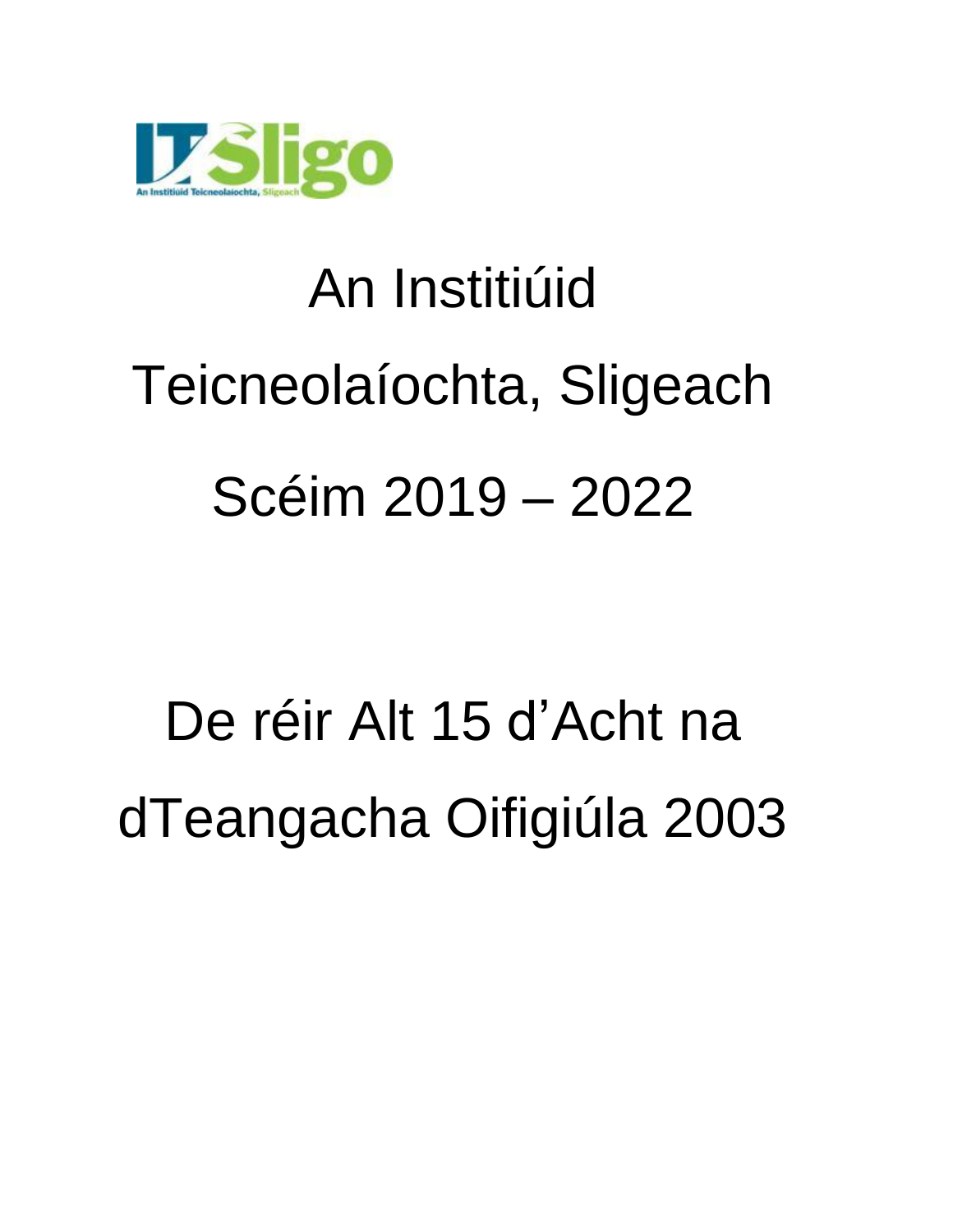

# An Institiúid Teicneolaíochta, Sligeach Scéim 2019 – 2022

# De réir Alt 15 d'Acht na dTeangacha Oifigiúla 2003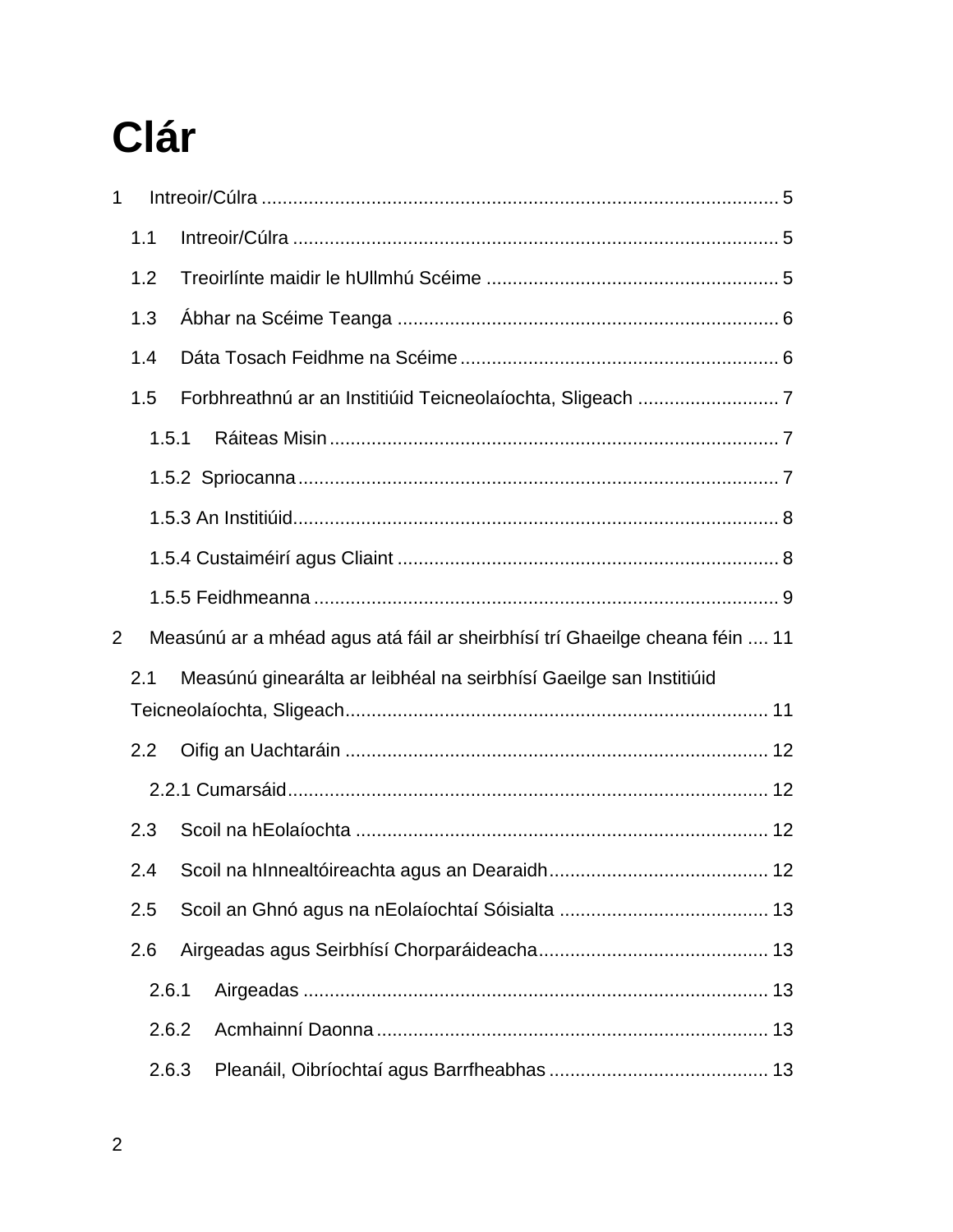### **Clár**

| 1              |       |                                                                             |  |
|----------------|-------|-----------------------------------------------------------------------------|--|
|                | 1.1   |                                                                             |  |
|                | 1.2   |                                                                             |  |
|                | 1.3   |                                                                             |  |
|                | 1.4   |                                                                             |  |
|                | 1.5   |                                                                             |  |
|                | 1.5.1 |                                                                             |  |
|                |       |                                                                             |  |
|                |       |                                                                             |  |
|                |       |                                                                             |  |
|                |       |                                                                             |  |
| $\overline{2}$ |       | Measúnú ar a mhéad agus atá fáil ar sheirbhísí trí Ghaeilge cheana féin  11 |  |
|                | 2.1   | Measúnú ginearálta ar leibhéal na seirbhísí Gaeilge san Institiúid          |  |
|                |       |                                                                             |  |
|                | 2.2   |                                                                             |  |
|                |       |                                                                             |  |
|                | 2.3   |                                                                             |  |
|                | 2.4   |                                                                             |  |
|                | 2.5   |                                                                             |  |
|                | 2.6   |                                                                             |  |
|                | 2.6.1 |                                                                             |  |
|                | 2.6.2 |                                                                             |  |
|                | 2.6.3 |                                                                             |  |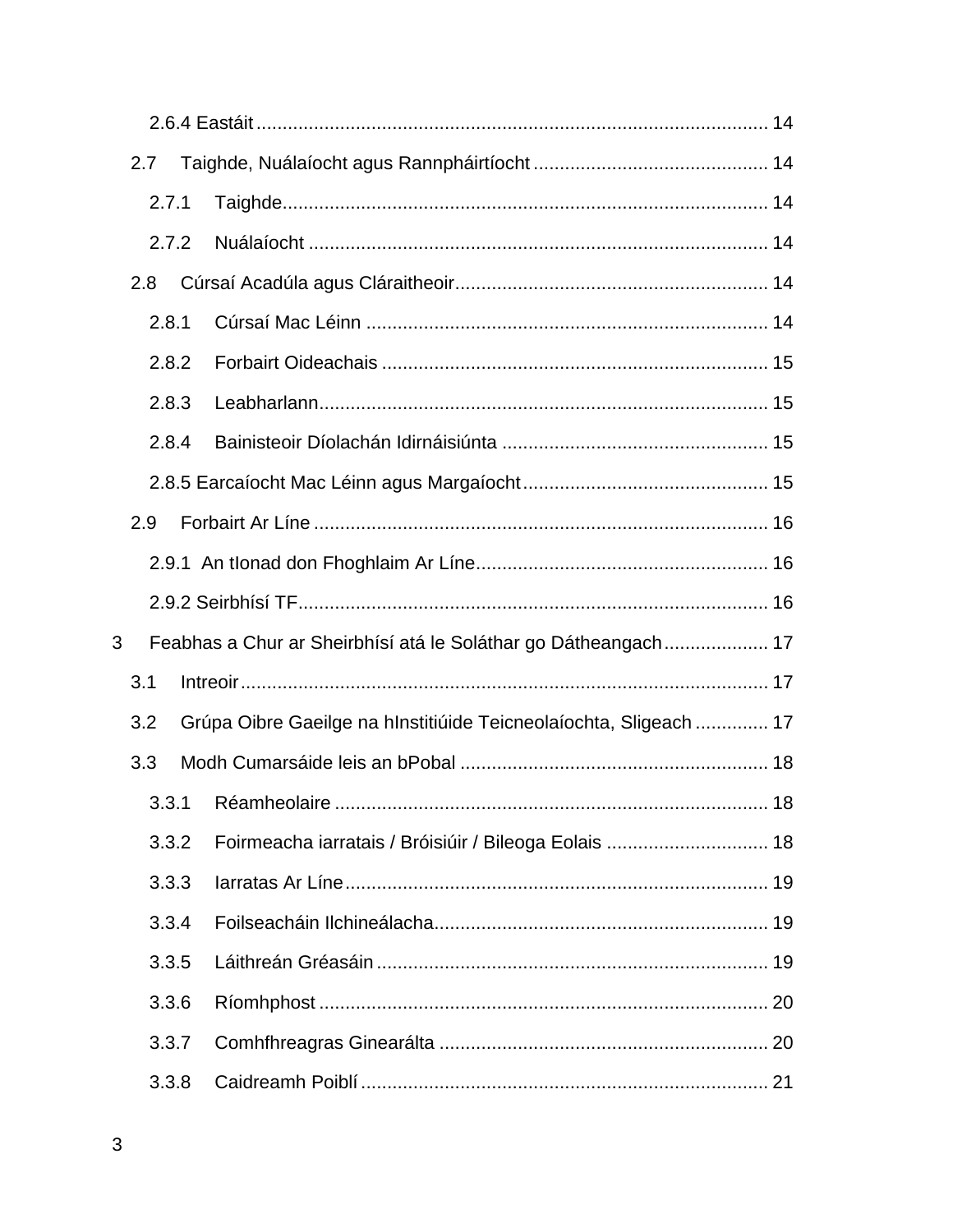|   | 2.7 |       |  |                                                                   |  |
|---|-----|-------|--|-------------------------------------------------------------------|--|
|   |     | 2.7.1 |  |                                                                   |  |
|   |     | 2.7.2 |  |                                                                   |  |
|   | 2.8 |       |  |                                                                   |  |
|   |     | 2.8.1 |  |                                                                   |  |
|   |     | 2.8.2 |  |                                                                   |  |
|   |     | 2.8.3 |  |                                                                   |  |
|   |     | 2.8.4 |  |                                                                   |  |
|   |     |       |  |                                                                   |  |
|   | 2.9 |       |  |                                                                   |  |
|   |     |       |  |                                                                   |  |
|   |     |       |  |                                                                   |  |
| 3 |     |       |  | Feabhas a Chur ar Sheirbhísí atá le Soláthar go Dátheangach 17    |  |
|   | 3.1 |       |  |                                                                   |  |
|   | 3.2 |       |  | Grúpa Oibre Gaeilge na hInstitiúide Teicneolaíochta, Sligeach  17 |  |
|   | 3.3 |       |  |                                                                   |  |
|   |     |       |  | 18                                                                |  |
|   |     | 3.3.2 |  | Foirmeacha iarratais / Bróisiúir / Bileoga Eolais  18             |  |
|   |     | 3.3.3 |  |                                                                   |  |
|   |     | 3.3.4 |  |                                                                   |  |
|   |     | 3.3.5 |  |                                                                   |  |
|   |     | 3.3.6 |  |                                                                   |  |
|   |     | 3.3.7 |  |                                                                   |  |
|   |     | 3.3.8 |  |                                                                   |  |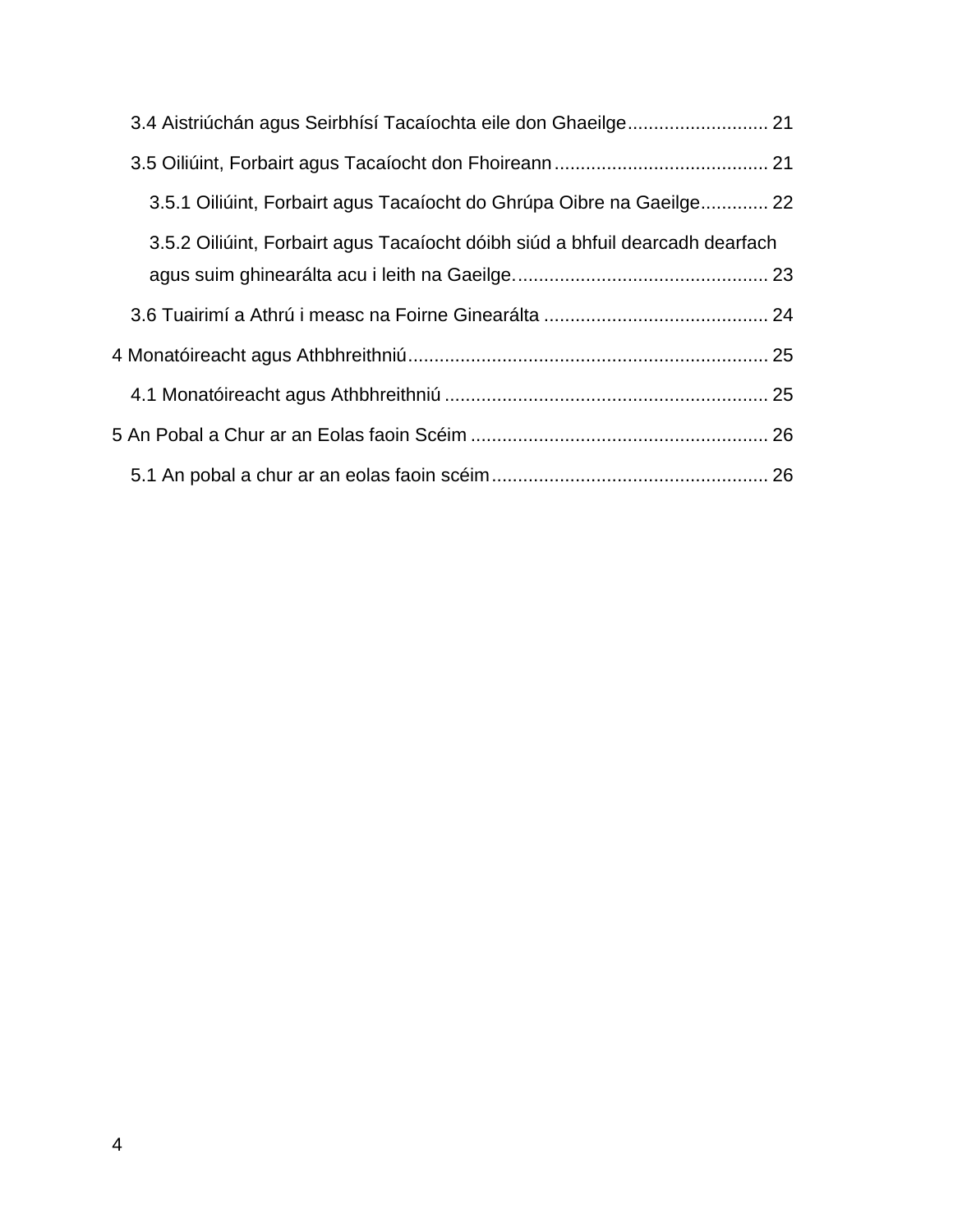| 3.4 Aistriúchán agus Seirbhísí Tacaíochta eile don Ghaeilge 21                |  |
|-------------------------------------------------------------------------------|--|
|                                                                               |  |
| 3.5.1 Oiliúint, Forbairt agus Tacaíocht do Ghrúpa Oibre na Gaeilge 22         |  |
| 3.5.2 Oiliúint, Forbairt agus Tacaíocht dóibh siúd a bhfuil dearcadh dearfach |  |
|                                                                               |  |
|                                                                               |  |
|                                                                               |  |
|                                                                               |  |
|                                                                               |  |
|                                                                               |  |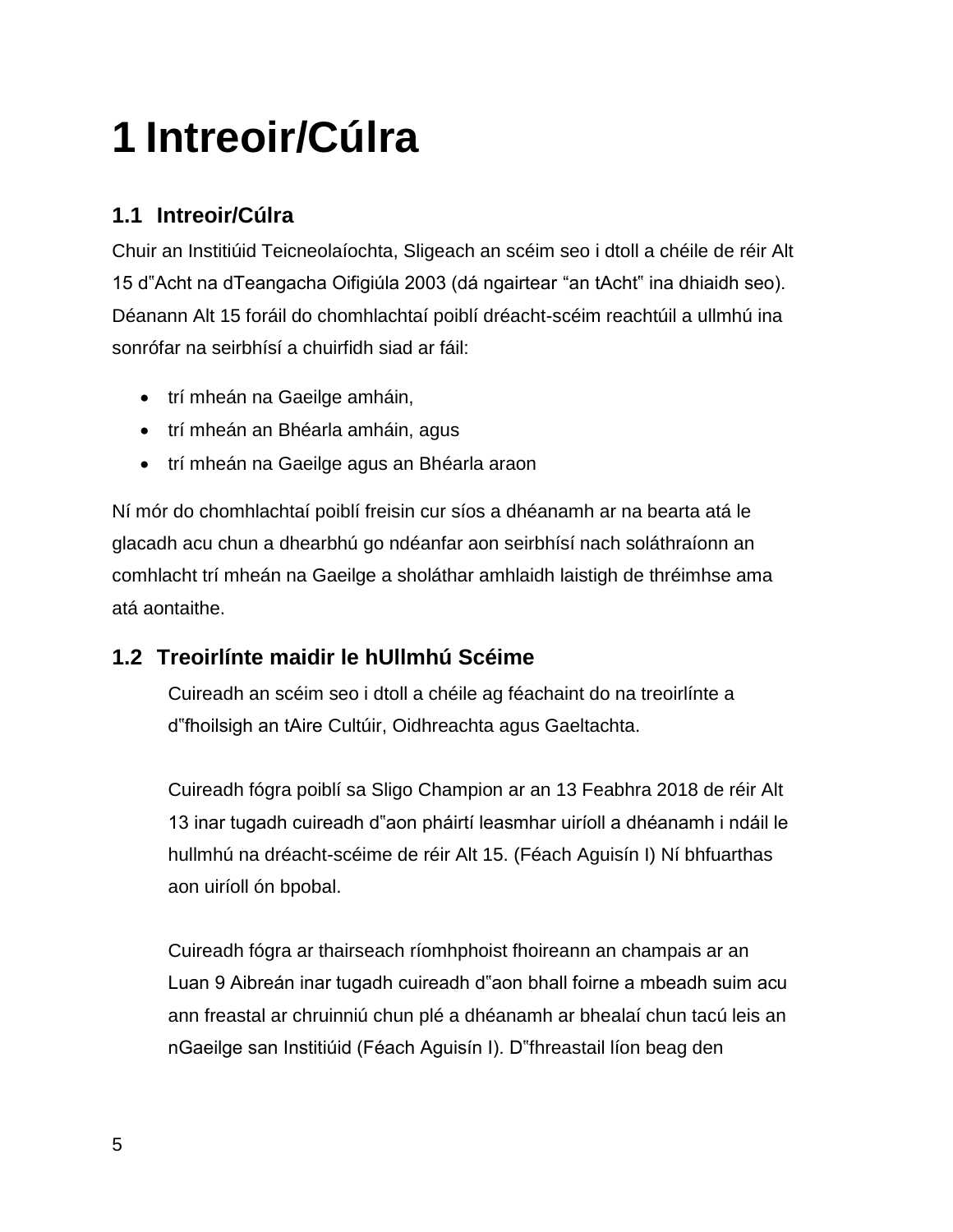### <span id="page-4-0"></span>**1 Intreoir/Cúlra**

#### <span id="page-4-1"></span>**1.1 Intreoir/Cúlra**

Chuir an Institiúid Teicneolaíochta, Sligeach an scéim seo i dtoll a chéile de réir Alt 15 d"Acht na dTeangacha Oifigiúla 2003 (dá ngairtear "an tAcht" ina dhiaidh seo). Déanann Alt 15 foráil do chomhlachtaí poiblí dréacht-scéim reachtúil a ullmhú ina sonrófar na seirbhísí a chuirfidh siad ar fáil:

- trí mheán na Gaeilge amháin,
- trí mheán an Bhéarla amháin, agus
- trí mheán na Gaeilge agus an Bhéarla araon

Ní mór do chomhlachtaí poiblí freisin cur síos a dhéanamh ar na bearta atá le glacadh acu chun a dhearbhú go ndéanfar aon seirbhísí nach soláthraíonn an comhlacht trí mheán na Gaeilge a sholáthar amhlaidh laistigh de thréimhse ama atá aontaithe.

#### <span id="page-4-2"></span>**1.2 Treoirlínte maidir le hUllmhú Scéime**

Cuireadh an scéim seo i dtoll a chéile ag féachaint do na treoirlínte a d"fhoilsigh an tAire Cultúir, Oidhreachta agus Gaeltachta.

Cuireadh fógra poiblí sa Sligo Champion ar an 13 Feabhra 2018 de réir Alt 13 inar tugadh cuireadh d"aon pháirtí leasmhar uiríoll a dhéanamh i ndáil le hullmhú na dréacht-scéime de réir Alt 15. (Féach Aguisín I) Ní bhfuarthas aon uiríoll ón bpobal.

Cuireadh fógra ar thairseach ríomhphoist fhoireann an champais ar an Luan 9 Aibreán inar tugadh cuireadh d"aon bhall foirne a mbeadh suim acu ann freastal ar chruinniú chun plé a dhéanamh ar bhealaí chun tacú leis an nGaeilge san Institiúid (Féach Aguisín I). D"fhreastail líon beag den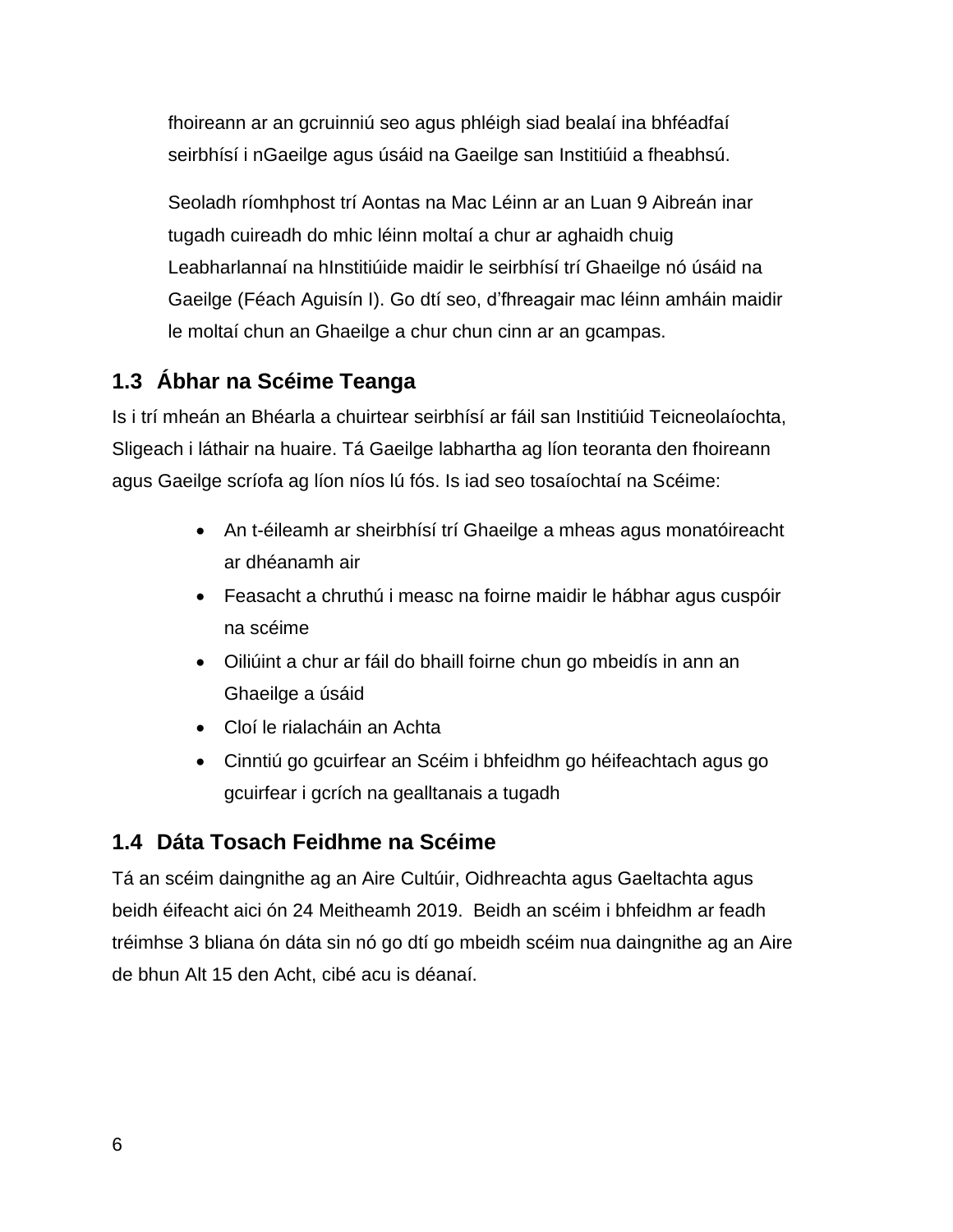fhoireann ar an gcruinniú seo agus phléigh siad bealaí ina bhféadfaí seirbhísí i nGaeilge agus úsáid na Gaeilge san Institiúid a fheabhsú.

Seoladh ríomhphost trí Aontas na Mac Léinn ar an Luan 9 Aibreán inar tugadh cuireadh do mhic léinn moltaí a chur ar aghaidh chuig Leabharlannaí na hInstitiúide maidir le seirbhísí trí Ghaeilge nó úsáid na Gaeilge (Féach Aguisín I). Go dtí seo, d'fhreagair mac léinn amháin maidir le moltaí chun an Ghaeilge a chur chun cinn ar an gcampas.

#### <span id="page-5-0"></span>**1.3 Ábhar na Scéime Teanga**

Is i trí mheán an Bhéarla a chuirtear seirbhísí ar fáil san Institiúid Teicneolaíochta, Sligeach i láthair na huaire. Tá Gaeilge labhartha ag líon teoranta den fhoireann agus Gaeilge scríofa ag líon níos lú fós. Is iad seo tosaíochtaí na Scéime:

- An t-éileamh ar sheirbhísí trí Ghaeilge a mheas agus monatóireacht ar dhéanamh air
- Feasacht a chruthú i measc na foirne maidir le hábhar agus cuspóir na scéime
- Oiliúint a chur ar fáil do bhaill foirne chun go mbeidís in ann an Ghaeilge a úsáid
- Cloí le rialacháin an Achta
- Cinntiú go gcuirfear an Scéim i bhfeidhm go héifeachtach agus go gcuirfear i gcrích na gealltanais a tugadh

#### <span id="page-5-1"></span>**1.4 Dáta Tosach Feidhme na Scéime**

Tá an scéim daingnithe ag an Aire Cultúir, Oidhreachta agus Gaeltachta agus beidh éifeacht aici ón 24 Meitheamh 2019. Beidh an scéim i bhfeidhm ar feadh tréimhse 3 bliana ón dáta sin nó go dtí go mbeidh scéim nua daingnithe ag an Aire de bhun Alt 15 den Acht, cibé acu is déanaí.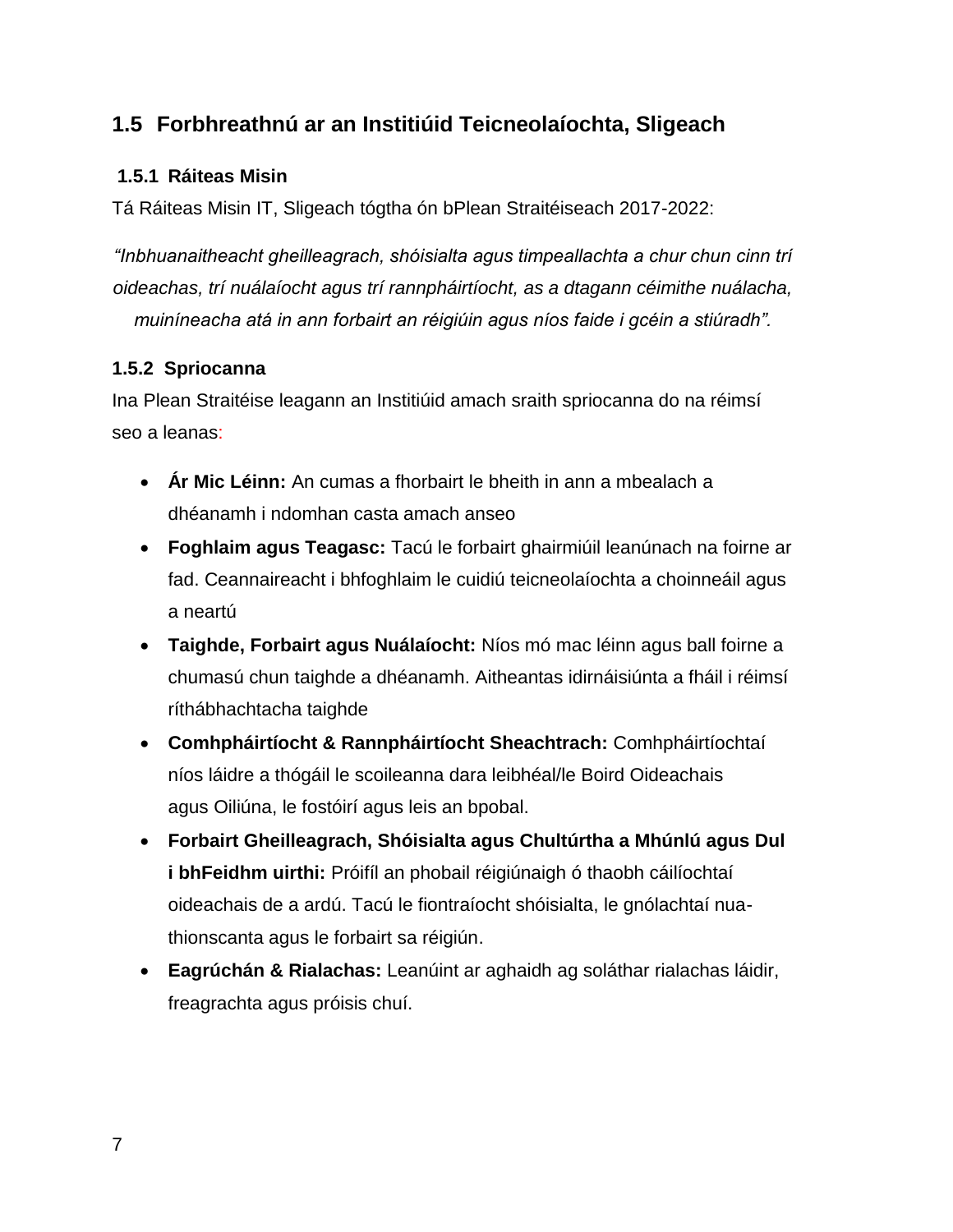#### <span id="page-6-0"></span>**1.5 Forbhreathnú ar an Institiúid Teicneolaíochta, Sligeach**

#### <span id="page-6-1"></span>**1.5.1 Ráiteas Misin**

Tá Ráiteas Misin IT, Sligeach tógtha ón bPlean Straitéiseach 2017-2022:

*"Inbhuanaitheacht gheilleagrach, shóisialta agus timpeallachta a chur chun cinn trí oideachas, trí nuálaíocht agus trí rannpháirtíocht, as a dtagann céimithe nuálacha, muiníneacha atá in ann forbairt an réigiúin agus níos faide i gcéin a stiúradh".*

#### <span id="page-6-2"></span>**1.5.2 Spriocanna**

Ina Plean Straitéise leagann an Institiúid amach sraith spriocanna do na réimsí seo a leanas:

- **Ár Mic Léinn:** An cumas a fhorbairt le bheith in ann a mbealach a dhéanamh i ndomhan casta amach anseo
- **Foghlaim agus Teagasc:** Tacú le forbairt ghairmiúil leanúnach na foirne ar fad. Ceannaireacht i bhfoghlaim le cuidiú teicneolaíochta a choinneáil agus a neartú
- **Taighde, Forbairt agus Nuálaíocht:** Níos mó mac léinn agus ball foirne a chumasú chun taighde a dhéanamh. Aitheantas idirnáisiúnta a fháil i réimsí ríthábhachtacha taighde
- **Comhpháirtíocht & Rannpháirtíocht Sheachtrach:** Comhpháirtíochtaí níos láidre a thógáil le scoileanna dara leibhéal/le Boird Oideachais agus Oiliúna, le fostóirí agus leis an bpobal.
- **Forbairt Gheilleagrach, Shóisialta agus Chultúrtha a Mhúnlú agus Dul i bhFeidhm uirthi:** Próifíl an phobail réigiúnaigh ó thaobh cáilíochtaí oideachais de a ardú. Tacú le fiontraíocht shóisialta, le gnólachtaí nuathionscanta agus le forbairt sa réigiún.
- **Eagrúchán & Rialachas:** Leanúint ar aghaidh ag soláthar rialachas láidir, freagrachta agus próisis chuí.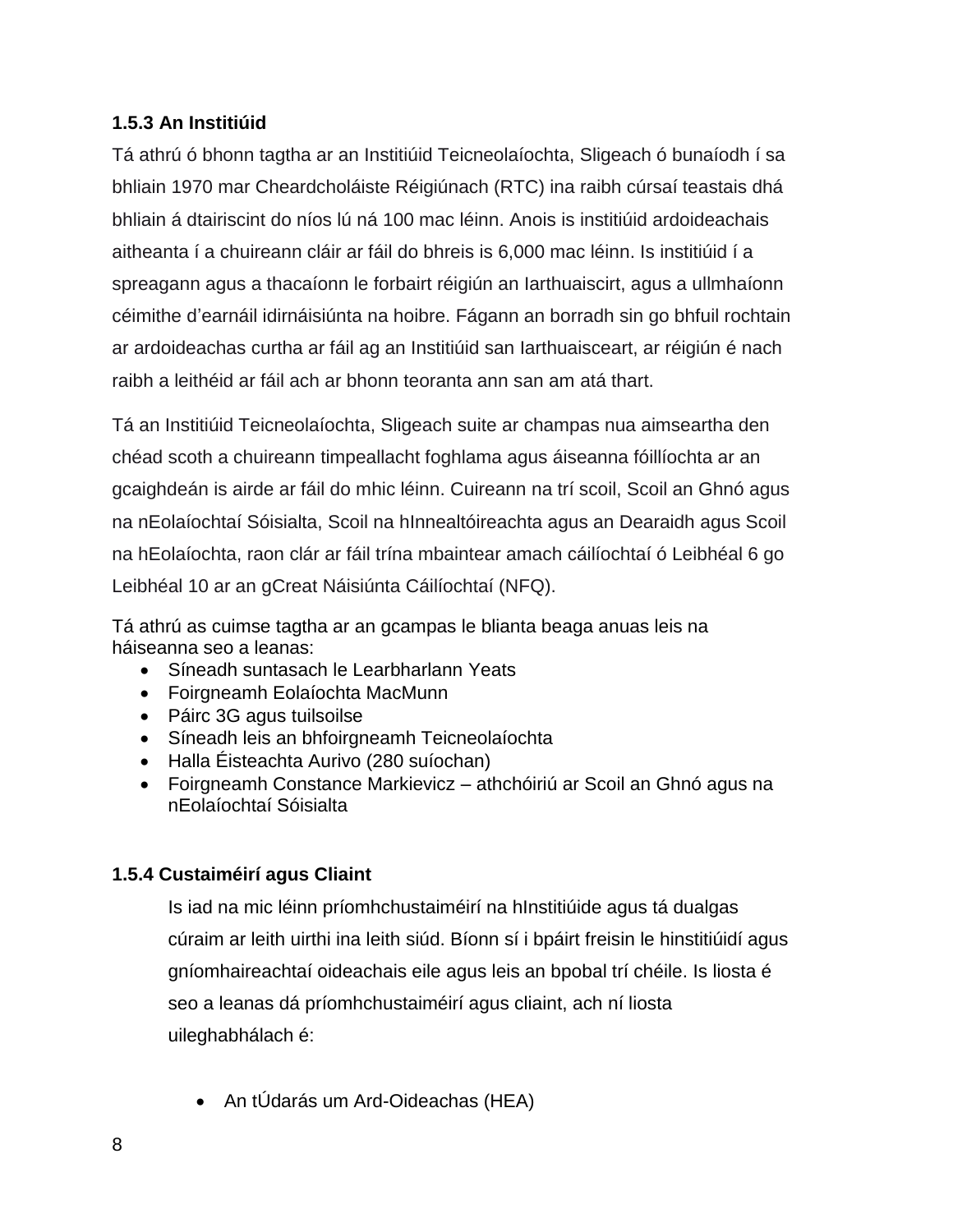#### <span id="page-7-0"></span>**1.5.3 An Institiúid**

Tá athrú ó bhonn tagtha ar an Institiúid Teicneolaíochta, Sligeach ó bunaíodh í sa bhliain 1970 mar Cheardcholáiste Réigiúnach (RTC) ina raibh cúrsaí teastais dhá bhliain á dtairiscint do níos lú ná 100 mac léinn. Anois is institiúid ardoideachais aitheanta í a chuireann cláir ar fáil do bhreis is 6,000 mac léinn. Is institiúid í a spreagann agus a thacaíonn le forbairt réigiún an Iarthuaiscirt, agus a ullmhaíonn céimithe d'earnáil idirnáisiúnta na hoibre. Fágann an borradh sin go bhfuil rochtain ar ardoideachas curtha ar fáil ag an Institiúid san Iarthuaisceart, ar réigiún é nach raibh a leithéid ar fáil ach ar bhonn teoranta ann san am atá thart.

Tá an Institiúid Teicneolaíochta, Sligeach suite ar champas nua aimseartha den chéad scoth a chuireann timpeallacht foghlama agus áiseanna fóillíochta ar an gcaighdeán is airde ar fáil do mhic léinn. Cuireann na trí scoil, Scoil an Ghnó agus na nEolaíochtaí Sóisialta, Scoil na hInnealtóireachta agus an Dearaidh agus Scoil na hEolaíochta, raon clár ar fáil trína mbaintear amach cáilíochtaí ó Leibhéal 6 go Leibhéal 10 ar an gCreat Náisiúnta Cáilíochtaí (NFQ).

Tá athrú as cuimse tagtha ar an gcampas le blianta beaga anuas leis na háiseanna seo a leanas:

- Síneadh suntasach le Learbharlann Yeats
- Foirgneamh Eolaíochta MacMunn
- Páirc 3G agus tuilsoilse
- Síneadh leis an bhfoirgneamh Teicneolaíochta
- Halla Éisteachta Aurivo (280 suíochan)
- Foirgneamh Constance Markievicz athchóiriú ar Scoil an Ghnó agus na nEolaíochtaí Sóisialta

#### <span id="page-7-1"></span>**1.5.4 Custaiméirí agus Cliaint**

Is iad na mic léinn príomhchustaiméirí na hInstitiúide agus tá dualgas cúraim ar leith uirthi ina leith siúd. Bíonn sí i bpáirt freisin le hinstitiúidí agus gníomhaireachtaí oideachais eile agus leis an bpobal trí chéile. Is liosta é seo a leanas dá príomhchustaiméirí agus cliaint, ach ní liosta uileghabhálach é:

An tÚdarás um Ard-Oideachas (HEA)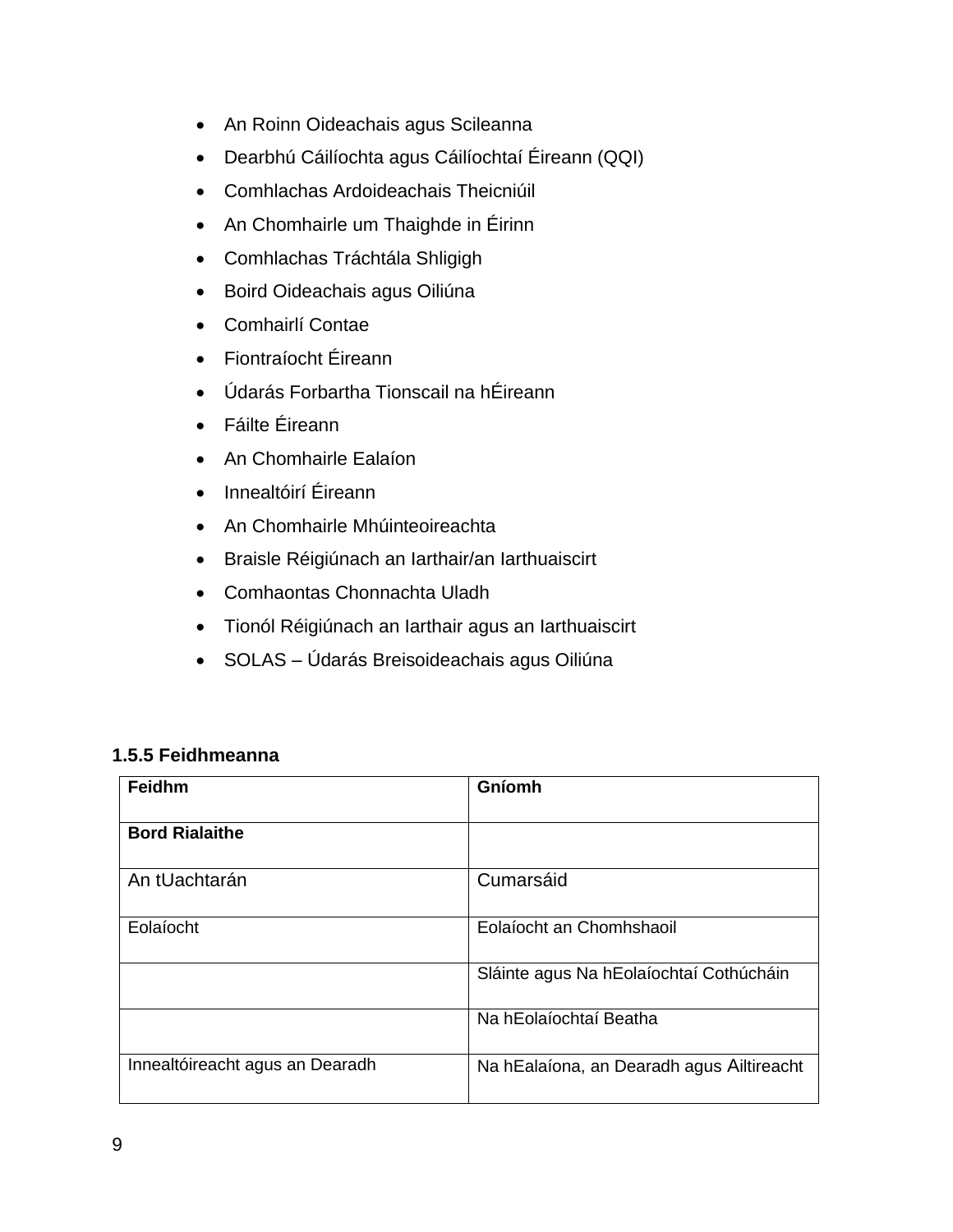- An Roinn Oideachais agus Scileanna
- Dearbhú Cáilíochta agus Cáilíochtaí Éireann (QQI)
- Comhlachas Ardoideachais Theicniúil
- An Chomhairle um Thaighde in Éirinn
- Comhlachas Tráchtála Shligigh
- Boird Oideachais agus Oiliúna
- Comhairlí Contae
- Fiontraíocht Éireann
- Údarás Forbartha Tionscail na hÉireann
- Fáilte Éireann
- An Chomhairle Ealaíon
- Innealtóirí Éireann
- An Chomhairle Mhúinteoireachta
- Braisle Réigiúnach an Iarthair/an Iarthuaiscirt
- Comhaontas Chonnachta Uladh
- Tionól Réigiúnach an Iarthair agus an Iarthuaiscirt
- SOLAS Údarás Breisoideachais agus Oiliúna

#### <span id="page-8-0"></span>**1.5.5 Feidhmeanna**

| Feidhm                          | Gníomh                                    |
|---------------------------------|-------------------------------------------|
| <b>Bord Rialaithe</b>           |                                           |
| An tUachtarán                   | Cumarsáid                                 |
| Eolaíocht                       | Eolaíocht an Chomhshaoil                  |
|                                 | Sláinte agus Na hEolaíochtaí Cothúcháin   |
|                                 | Na hEolaíochtaí Beatha                    |
| Innealtóireacht agus an Dearadh | Na hEalaíona, an Dearadh agus Ailtireacht |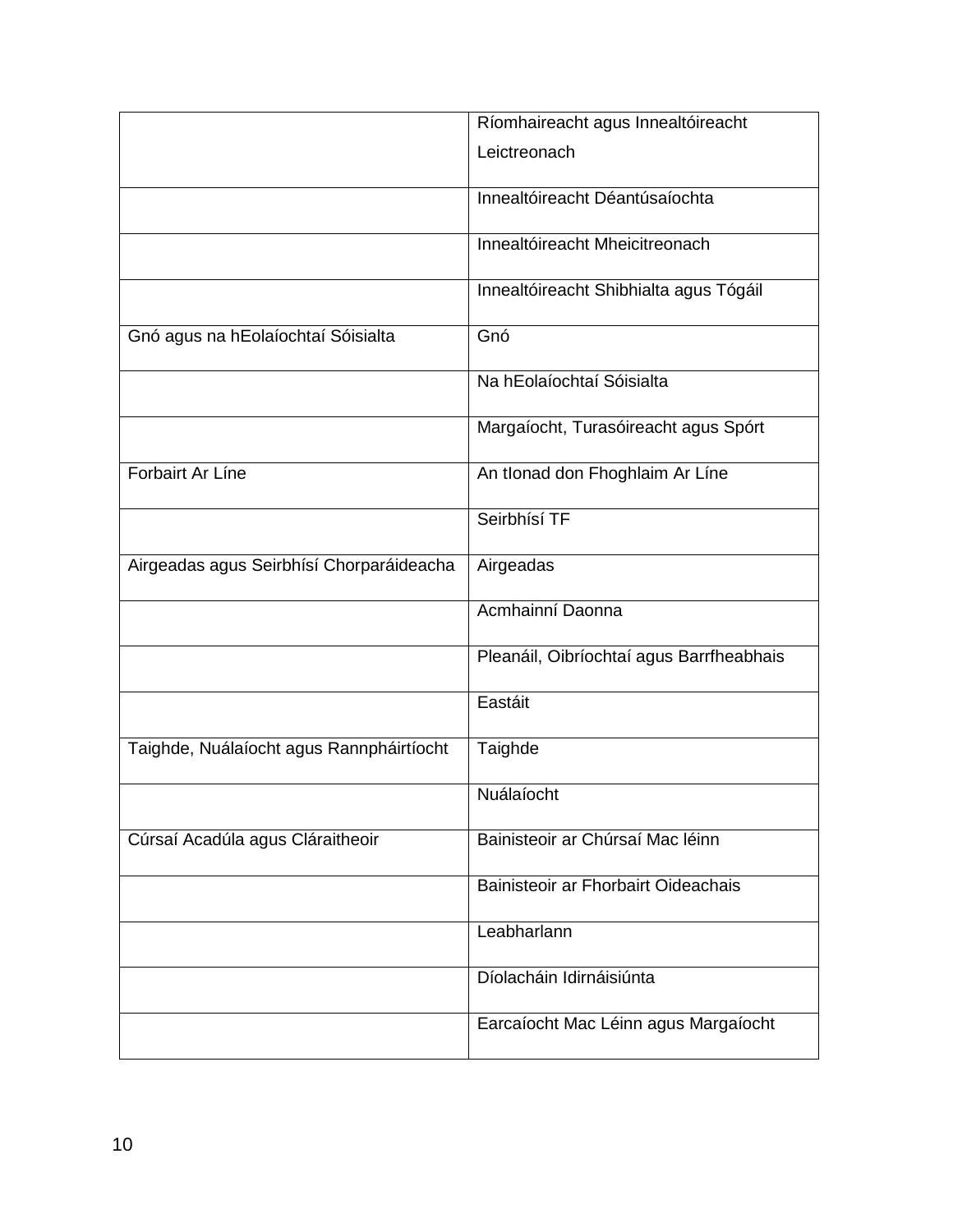|                                          | Ríomhaireacht agus Innealtóireacht       |
|------------------------------------------|------------------------------------------|
|                                          | Leictreonach                             |
|                                          | Innealtóireacht Déantúsaíochta           |
|                                          | Innealtóireacht Mheicitreonach           |
|                                          | Innealtóireacht Shibhialta agus Tógáil   |
| Gnó agus na hEolaíochtaí Sóisialta       | Gnó                                      |
|                                          | Na hEolaíochtaí Sóisialta                |
|                                          | Margaíocht, Turasóireacht agus Spórt     |
| Forbairt Ar Líne                         | An tIonad don Fhoghlaim Ar Líne          |
|                                          | Seirbhísí TF                             |
| Airgeadas agus Seirbhísí Chorparáideacha | Airgeadas                                |
|                                          | Acmhainní Daonna                         |
|                                          | Pleanáil, Oibríochtaí agus Barrfheabhais |
|                                          | Eastáit                                  |
| Taighde, Nuálaíocht agus Rannpháirtíocht | Taighde                                  |
|                                          | Nuálaíocht                               |
| Cúrsaí Acadúla agus Cláraitheoir         | Bainisteoir ar Chúrsaí Mac léinn         |
|                                          | Bainisteoir ar Fhorbairt Oideachais      |
|                                          | Leabharlann                              |
|                                          | Díolacháin Idirnáisiúnta                 |
|                                          | Earcaíocht Mac Léinn agus Margaíocht     |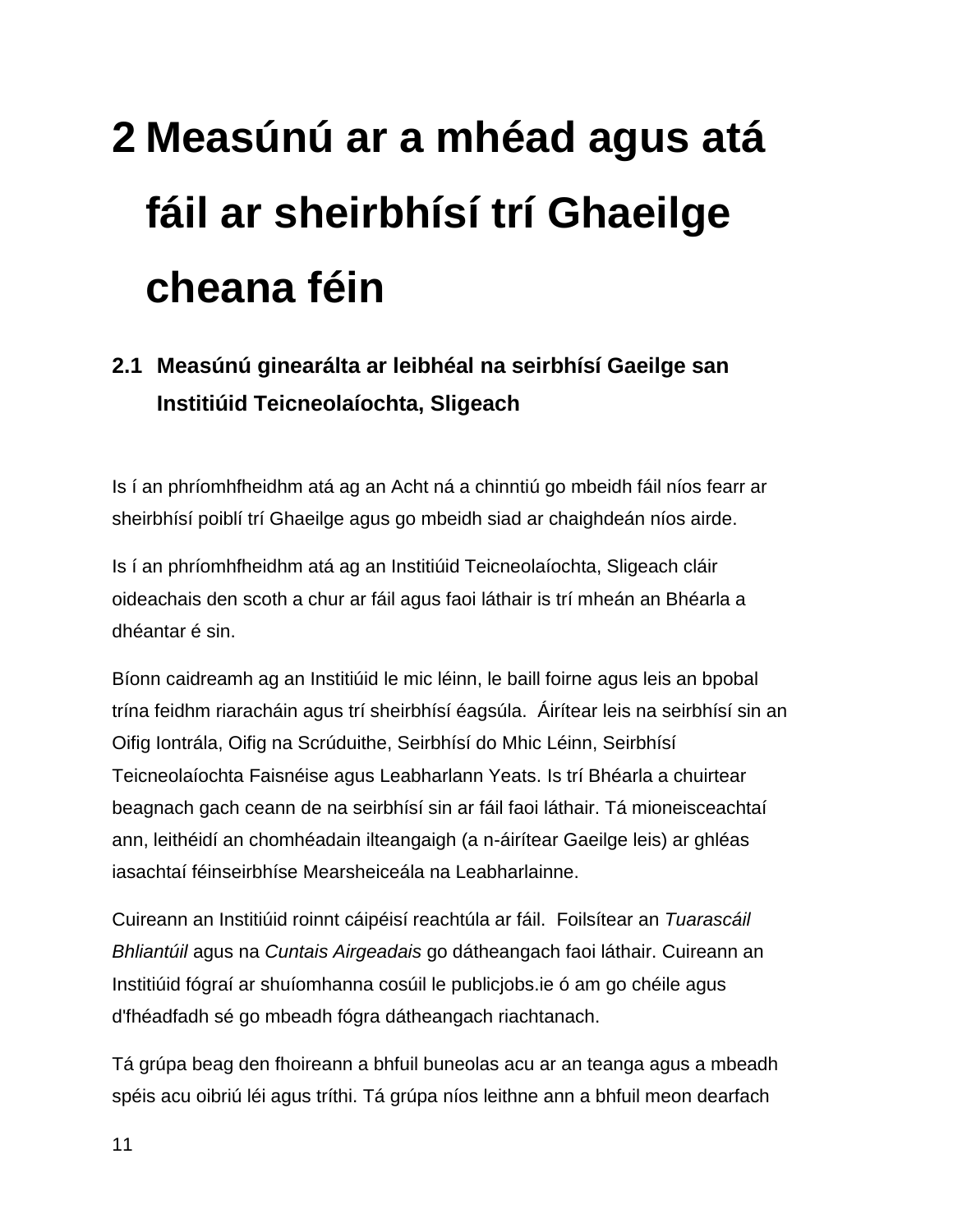## <span id="page-10-0"></span>**2 Measúnú ar a mhéad agus atá fáil ar sheirbhísí trí Ghaeilge cheana féin**

#### <span id="page-10-1"></span>**2.1 Measúnú ginearálta ar leibhéal na seirbhísí Gaeilge san Institiúid Teicneolaíochta, Sligeach**

Is í an phríomhfheidhm atá ag an Acht ná a chinntiú go mbeidh fáil níos fearr ar sheirbhísí poiblí trí Ghaeilge agus go mbeidh siad ar chaighdeán níos airde.

Is í an phríomhfheidhm atá ag an Institiúid Teicneolaíochta, Sligeach cláir oideachais den scoth a chur ar fáil agus faoi láthair is trí mheán an Bhéarla a dhéantar é sin.

Bíonn caidreamh ag an Institiúid le mic léinn, le baill foirne agus leis an bpobal trína feidhm riaracháin agus trí sheirbhísí éagsúla. Áirítear leis na seirbhísí sin an Oifig Iontrála, Oifig na Scrúduithe, Seirbhísí do Mhic Léinn, Seirbhísí Teicneolaíochta Faisnéise agus Leabharlann Yeats. Is trí Bhéarla a chuirtear beagnach gach ceann de na seirbhísí sin ar fáil faoi láthair. Tá mioneisceachtaí ann, leithéidí an chomhéadain ilteangaigh (a n-áirítear Gaeilge leis) ar ghléas iasachtaí féinseirbhíse Mearsheiceála na Leabharlainne.

Cuireann an Institiúid roinnt cáipéisí reachtúla ar fáil. Foilsítear an *Tuarascáil Bhliantúil* agus na *Cuntais Airgeadais* go dátheangach faoi láthair. Cuireann an Institiúid fógraí ar shuíomhanna cosúil le publicjobs.ie ó am go chéile agus d'fhéadfadh sé go mbeadh fógra dátheangach riachtanach.

Tá grúpa beag den fhoireann a bhfuil buneolas acu ar an teanga agus a mbeadh spéis acu oibriú léi agus tríthi. Tá grúpa níos leithne ann a bhfuil meon dearfach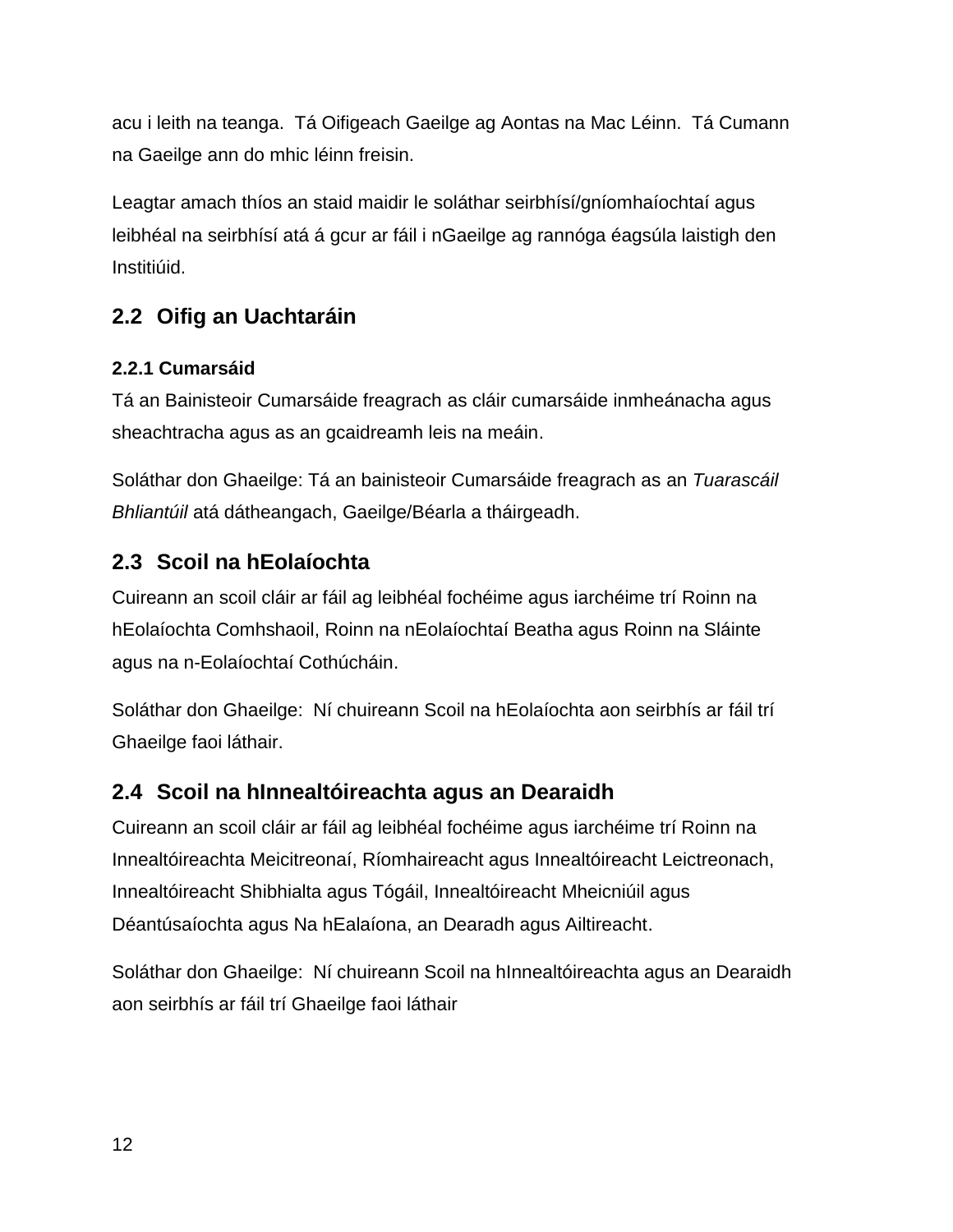acu i leith na teanga. Tá Oifigeach Gaeilge ag Aontas na Mac Léinn. Tá Cumann na Gaeilge ann do mhic léinn freisin.

Leagtar amach thíos an staid maidir le soláthar seirbhísí/gníomhaíochtaí agus leibhéal na seirbhísí atá á gcur ar fáil i nGaeilge ag rannóga éagsúla laistigh den Institiúid.

#### <span id="page-11-0"></span>**2.2 Oifig an Uachtaráin**

#### <span id="page-11-1"></span>**2.2.1 Cumarsáid**

Tá an Bainisteoir Cumarsáide freagrach as cláir cumarsáide inmheánacha agus sheachtracha agus as an gcaidreamh leis na meáin.

Soláthar don Ghaeilge: Tá an bainisteoir Cumarsáide freagrach as an *Tuarascáil Bhliantúil* atá dátheangach, Gaeilge/Béarla a tháirgeadh.

#### <span id="page-11-2"></span>**2.3 Scoil na hEolaíochta**

Cuireann an scoil cláir ar fáil ag leibhéal fochéime agus iarchéime trí Roinn na hEolaíochta Comhshaoil, Roinn na nEolaíochtaí Beatha agus Roinn na Sláinte agus na n-Eolaíochtaí Cothúcháin.

Soláthar don Ghaeilge: Ní chuireann Scoil na hEolaíochta aon seirbhís ar fáil trí Ghaeilge faoi láthair.

#### <span id="page-11-3"></span>**2.4 Scoil na hInnealtóireachta agus an Dearaidh**

Cuireann an scoil cláir ar fáil ag leibhéal fochéime agus iarchéime trí Roinn na Innealtóireachta Meicitreonaí, Ríomhaireacht agus Innealtóireacht Leictreonach, Innealtóireacht Shibhialta agus Tógáil, Innealtóireacht Mheicniúil agus Déantúsaíochta agus Na hEalaíona, an Dearadh agus Ailtireacht.

Soláthar don Ghaeilge: Ní chuireann Scoil na hInnealtóireachta agus an Dearaidh aon seirbhís ar fáil trí Ghaeilge faoi láthair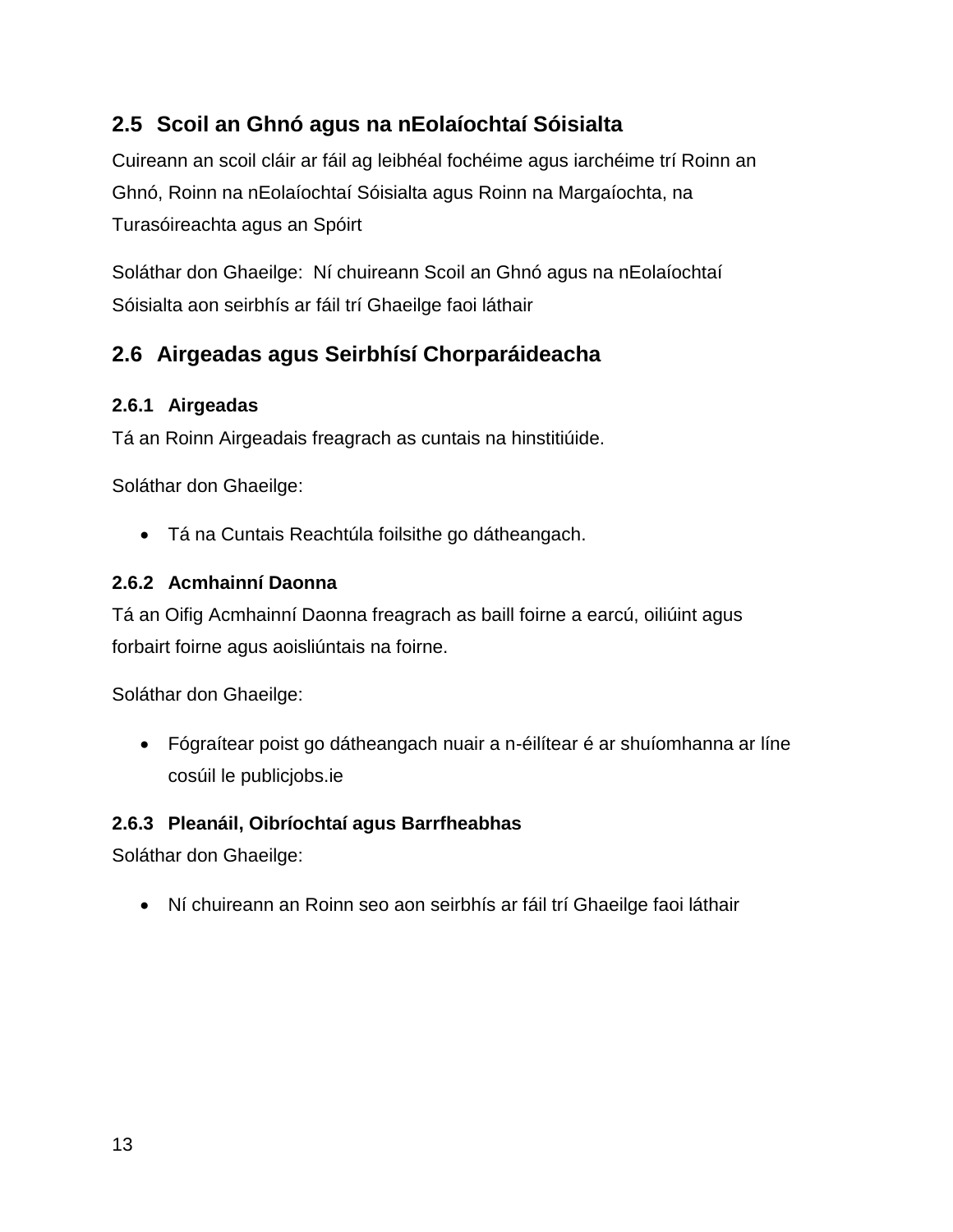#### <span id="page-12-0"></span>**2.5 Scoil an Ghnó agus na nEolaíochtaí Sóisialta**

Cuireann an scoil cláir ar fáil ag leibhéal fochéime agus iarchéime trí Roinn an Ghnó, Roinn na nEolaíochtaí Sóisialta agus Roinn na Margaíochta, na Turasóireachta agus an Spóirt

Soláthar don Ghaeilge: Ní chuireann Scoil an Ghnó agus na nEolaíochtaí Sóisialta aon seirbhís ar fáil trí Ghaeilge faoi láthair

#### <span id="page-12-1"></span>**2.6 Airgeadas agus Seirbhísí Chorparáideacha**

#### <span id="page-12-2"></span>**2.6.1 Airgeadas**

Tá an Roinn Airgeadais freagrach as cuntais na hinstitiúide.

Soláthar don Ghaeilge:

Tá na Cuntais Reachtúla foilsithe go dátheangach.

#### <span id="page-12-3"></span>**2.6.2 Acmhainní Daonna**

Tá an Oifig Acmhainní Daonna freagrach as baill foirne a earcú, oiliúint agus forbairt foirne agus aoisliúntais na foirne.

Soláthar don Ghaeilge:

 Fógraítear poist go dátheangach nuair a n-éilítear é ar shuíomhanna ar líne cosúil le publicjobs.ie

#### <span id="page-12-4"></span>**2.6.3 Pleanáil, Oibríochtaí agus Barrfheabhas**

Soláthar don Ghaeilge:

Ní chuireann an Roinn seo aon seirbhís ar fáil trí Ghaeilge faoi láthair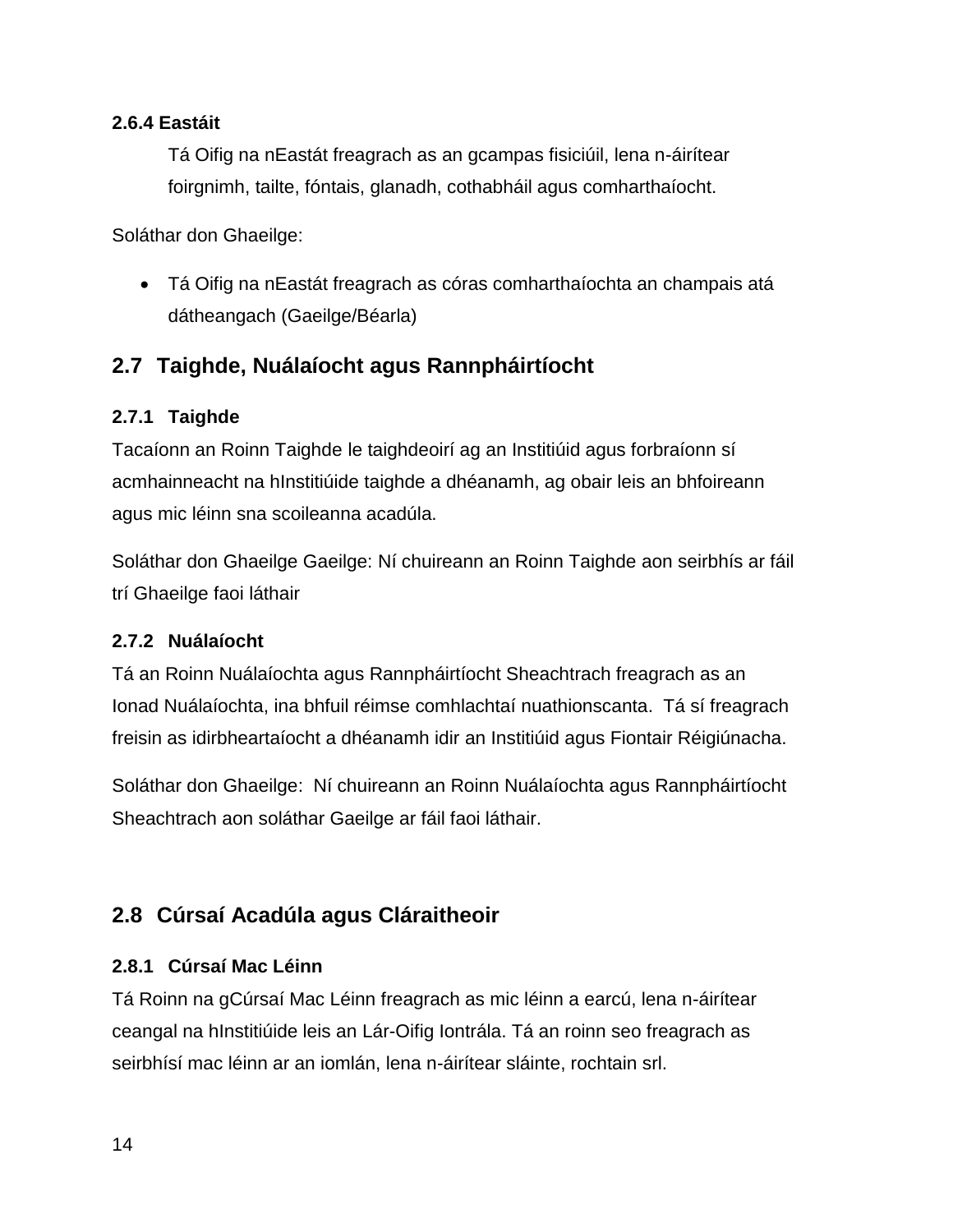#### <span id="page-13-0"></span>**2.6.4 Eastáit**

Tá Oifig na nEastát freagrach as an gcampas fisiciúil, lena n-áirítear foirgnimh, tailte, fóntais, glanadh, cothabháil agus comharthaíocht.

Soláthar don Ghaeilge:

 Tá Oifig na nEastát freagrach as córas comharthaíochta an champais atá dátheangach (Gaeilge/Béarla)

#### <span id="page-13-1"></span>**2.7 Taighde, Nuálaíocht agus Rannpháirtíocht**

#### <span id="page-13-2"></span>**2.7.1 Taighde**

Tacaíonn an Roinn Taighde le taighdeoirí ag an Institiúid agus forbraíonn sí acmhainneacht na hInstitiúide taighde a dhéanamh, ag obair leis an bhfoireann agus mic léinn sna scoileanna acadúla.

Soláthar don Ghaeilge Gaeilge: Ní chuireann an Roinn Taighde aon seirbhís ar fáil trí Ghaeilge faoi láthair

#### <span id="page-13-3"></span>**2.7.2 Nuálaíocht**

Tá an Roinn Nuálaíochta agus Rannpháirtíocht Sheachtrach freagrach as an Ionad Nuálaíochta, ina bhfuil réimse comhlachtaí nuathionscanta. Tá sí freagrach freisin as idirbheartaíocht a dhéanamh idir an Institiúid agus Fiontair Réigiúnacha.

Soláthar don Ghaeilge: Ní chuireann an Roinn Nuálaíochta agus Rannpháirtíocht Sheachtrach aon soláthar Gaeilge ar fáil faoi láthair.

#### <span id="page-13-4"></span>**2.8 Cúrsaí Acadúla agus Cláraitheoir**

#### <span id="page-13-5"></span>**2.8.1 Cúrsaí Mac Léinn**

Tá Roinn na gCúrsaí Mac Léinn freagrach as mic léinn a earcú, lena n-áirítear ceangal na hInstitiúide leis an Lár-Oifig Iontrála. Tá an roinn seo freagrach as seirbhísí mac léinn ar an iomlán, lena n-áirítear sláinte, rochtain srl.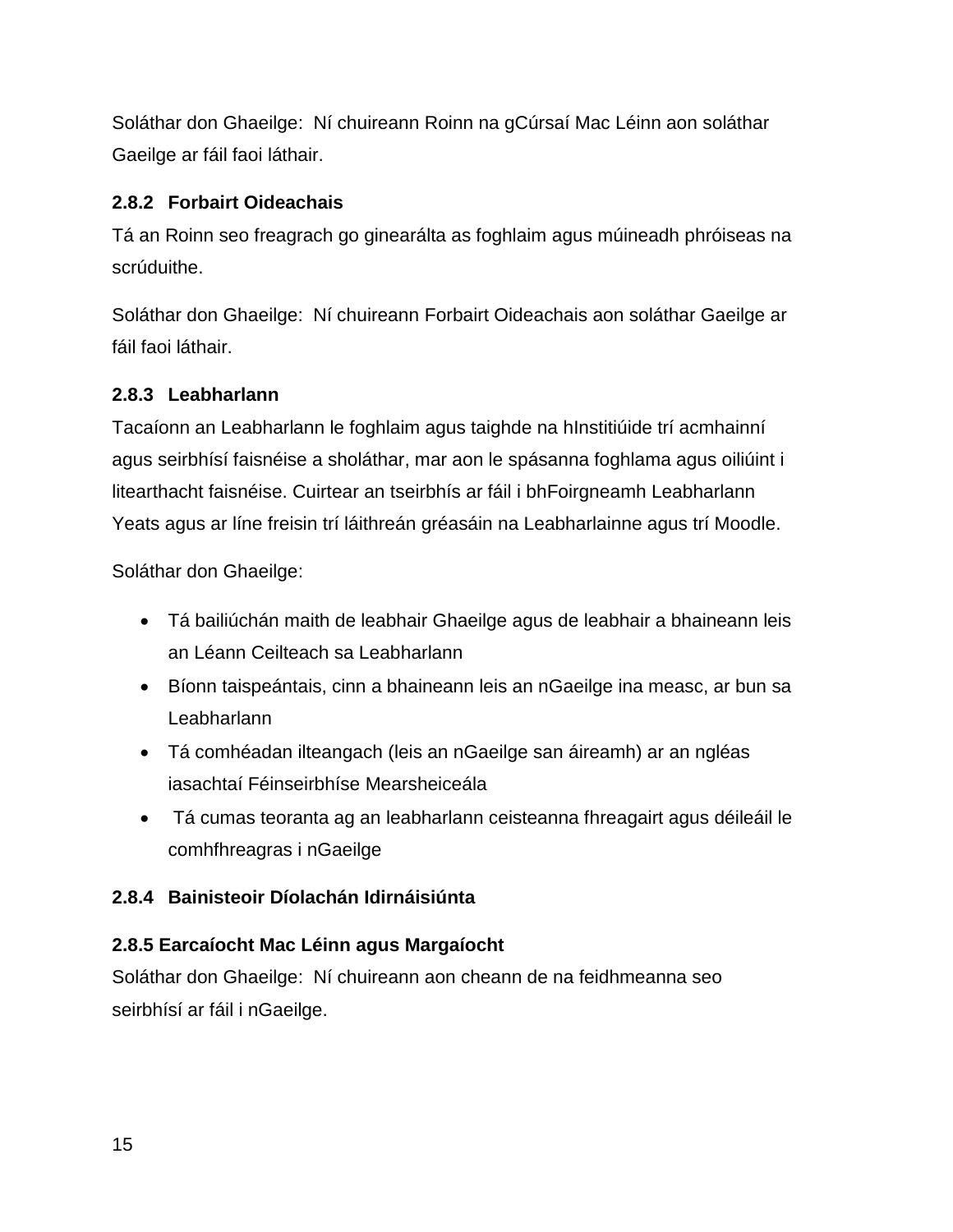Soláthar don Ghaeilge: Ní chuireann Roinn na gCúrsaí Mac Léinn aon soláthar Gaeilge ar fáil faoi láthair.

#### <span id="page-14-0"></span>**2.8.2 Forbairt Oideachais**

Tá an Roinn seo freagrach go ginearálta as foghlaim agus múineadh phróiseas na scrúduithe.

Soláthar don Ghaeilge: Ní chuireann Forbairt Oideachais aon soláthar Gaeilge ar fáil faoi láthair.

#### <span id="page-14-1"></span>**2.8.3 Leabharlann**

Tacaíonn an Leabharlann le foghlaim agus taighde na hInstitiúide trí acmhainní agus seirbhísí faisnéise a sholáthar, mar aon le spásanna foghlama agus oiliúint i litearthacht faisnéise. Cuirtear an tseirbhís ar fáil i bhFoirgneamh Leabharlann Yeats agus ar líne freisin trí láithreán gréasáin na Leabharlainne agus trí Moodle.

Soláthar don Ghaeilge:

- Tá bailiúchán maith de leabhair Ghaeilge agus de leabhair a bhaineann leis an Léann Ceilteach sa Leabharlann
- Bíonn taispeántais, cinn a bhaineann leis an nGaeilge ina measc, ar bun sa Leabharlann
- Tá comhéadan ilteangach (leis an nGaeilge san áireamh) ar an ngléas iasachtaí Féinseirbhíse Mearsheiceála
- Tá cumas teoranta ag an leabharlann ceisteanna fhreagairt agus déileáil le comhfhreagras i nGaeilge

#### <span id="page-14-2"></span>**2.8.4 Bainisteoir Díolachán Idirnáisiúnta**

#### <span id="page-14-3"></span>**2.8.5 Earcaíocht Mac Léinn agus Margaíocht**

Soláthar don Ghaeilge: Ní chuireann aon cheann de na feidhmeanna seo seirbhísí ar fáil i nGaeilge.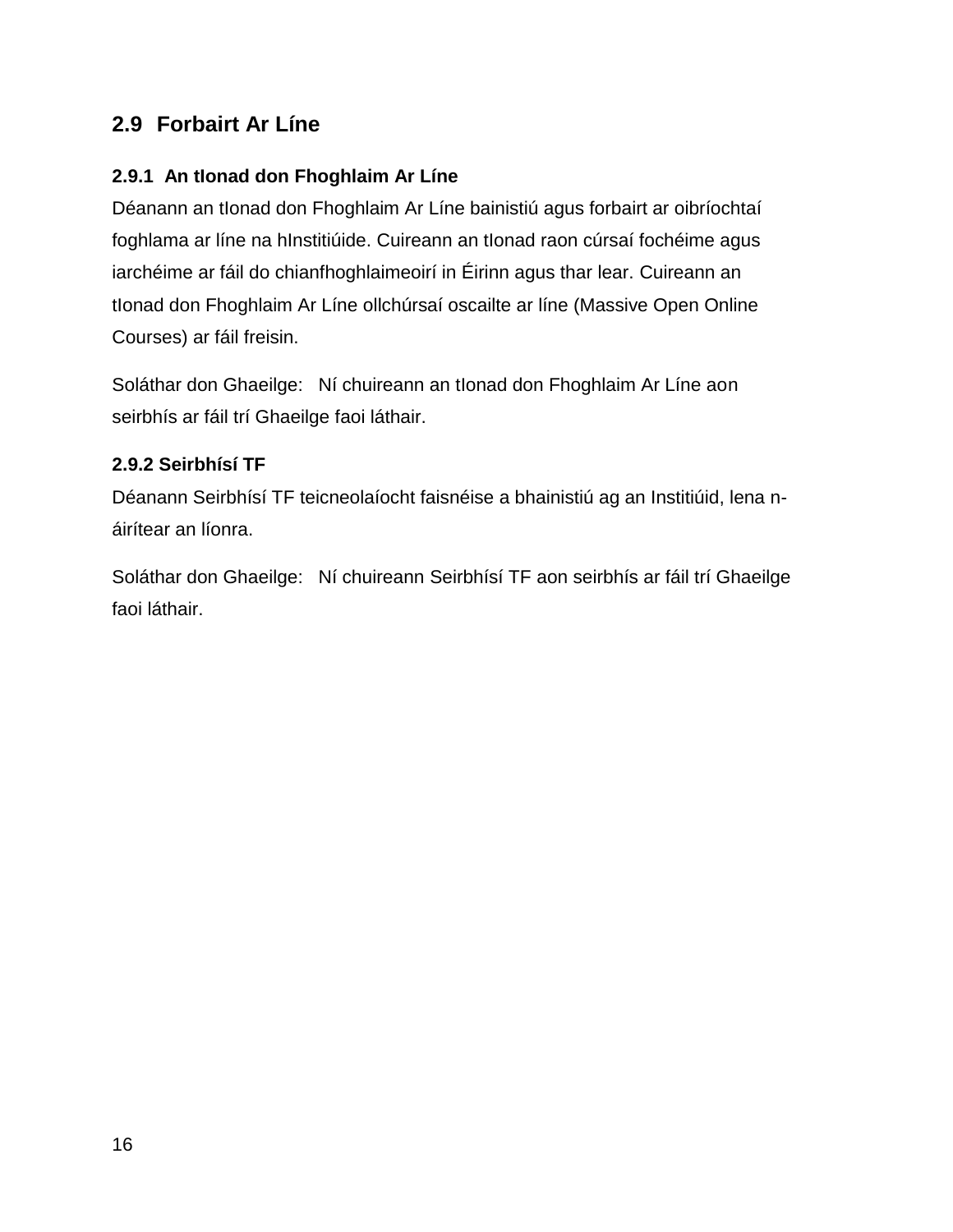#### <span id="page-15-0"></span>**2.9 Forbairt Ar Líne**

#### <span id="page-15-1"></span>**2.9.1 An tIonad don Fhoghlaim Ar Líne**

Déanann an tIonad don Fhoghlaim Ar Líne bainistiú agus forbairt ar oibríochtaí foghlama ar líne na hInstitiúide. Cuireann an tIonad raon cúrsaí fochéime agus iarchéime ar fáil do chianfhoghlaimeoirí in Éirinn agus thar lear. Cuireann an tlonad don Fhoghlaim Ar Líne ollchúrsaí oscailte ar líne (Massive Open Online Courses) ar fáil freisin.

Soláthar don Ghaeilge: Ní chuireann an tIonad don Fhoghlaim Ar Líne aon seirbhís ar fáil trí Ghaeilge faoi láthair.

#### <span id="page-15-2"></span>**2.9.2 Seirbhísí TF**

Déanann Seirbhísí TF teicneolaíocht faisnéise a bhainistiú ag an Institiúid, lena náirítear an líonra.

Soláthar don Ghaeilge: Ní chuireann Seirbhísí TF aon seirbhís ar fáil trí Ghaeilge faoi láthair.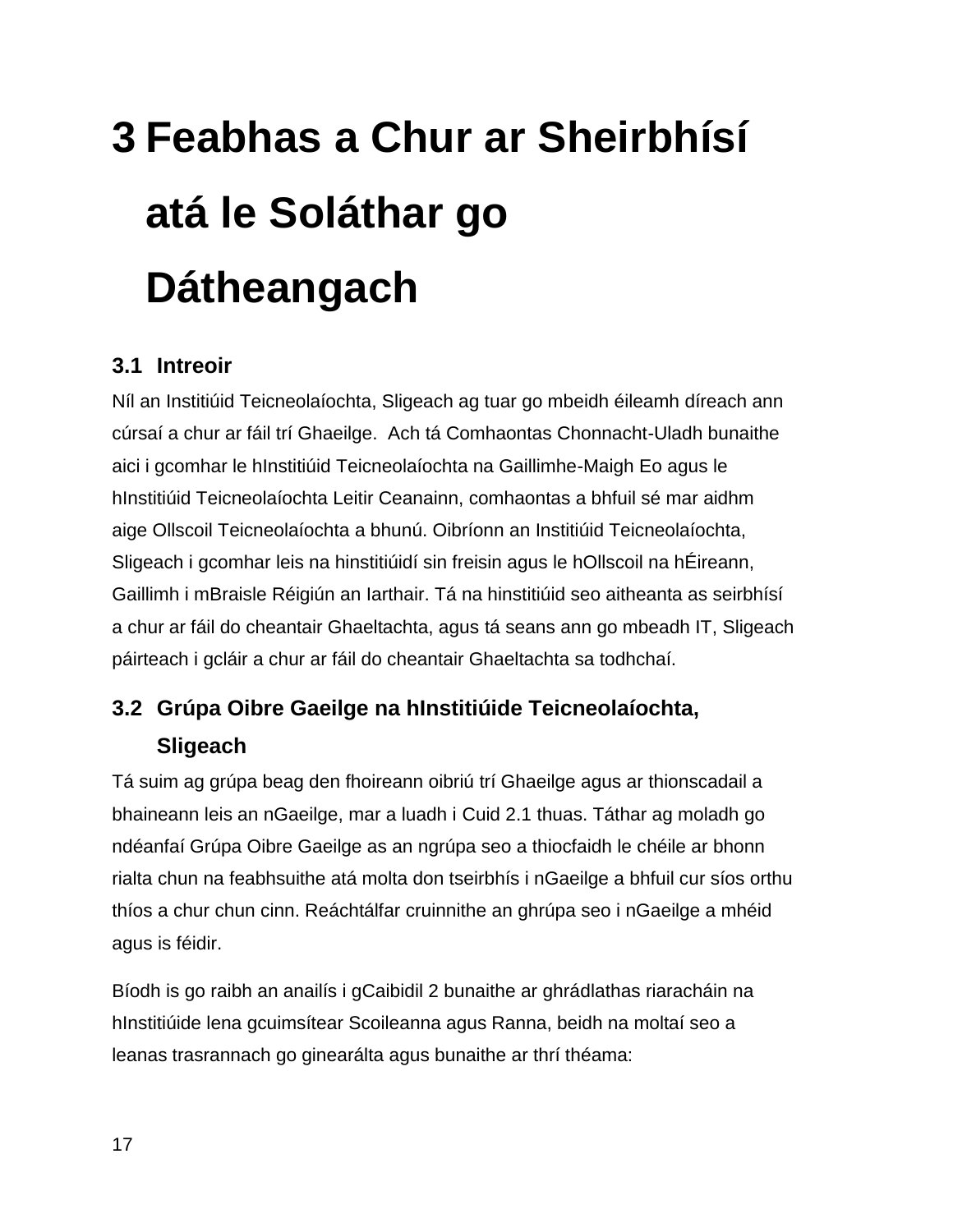## <span id="page-16-0"></span>**3 Feabhas a Chur ar Sheirbhísí atá le Soláthar go Dátheangach**

#### <span id="page-16-1"></span>**3.1 Intreoir**

Níl an Institiúid Teicneolaíochta, Sligeach ag tuar go mbeidh éileamh díreach ann cúrsaí a chur ar fáil trí Ghaeilge. Ach tá Comhaontas Chonnacht-Uladh bunaithe aici i gcomhar le hInstitiúid Teicneolaíochta na Gaillimhe-Maigh Eo agus le hInstitiúid Teicneolaíochta Leitir Ceanainn, comhaontas a bhfuil sé mar aidhm aige Ollscoil Teicneolaíochta a bhunú. Oibríonn an Institiúid Teicneolaíochta, Sligeach i gcomhar leis na hinstitiúidí sin freisin agus le hOllscoil na hÉireann, Gaillimh i mBraisle Réigiún an Iarthair. Tá na hinstitiúid seo aitheanta as seirbhísí a chur ar fáil do cheantair Ghaeltachta, agus tá seans ann go mbeadh IT, Sligeach páirteach i gcláir a chur ar fáil do cheantair Ghaeltachta sa todhchaí.

#### <span id="page-16-2"></span>**3.2 Grúpa Oibre Gaeilge na hInstitiúide Teicneolaíochta, Sligeach**

Tá suim ag grúpa beag den fhoireann oibriú trí Ghaeilge agus ar thionscadail a bhaineann leis an nGaeilge, mar a luadh i Cuid 2.1 thuas. Táthar ag moladh go ndéanfaí Grúpa Oibre Gaeilge as an ngrúpa seo a thiocfaidh le chéile ar bhonn rialta chun na feabhsuithe atá molta don tseirbhís i nGaeilge a bhfuil cur síos orthu thíos a chur chun cinn. Reáchtálfar cruinnithe an ghrúpa seo i nGaeilge a mhéid agus is féidir.

Bíodh is go raibh an anailís i gCaibidil 2 bunaithe ar ghrádlathas riaracháin na hInstitiúide lena gcuimsítear Scoileanna agus Ranna, beidh na moltaí seo a leanas trasrannach go ginearálta agus bunaithe ar thrí théama: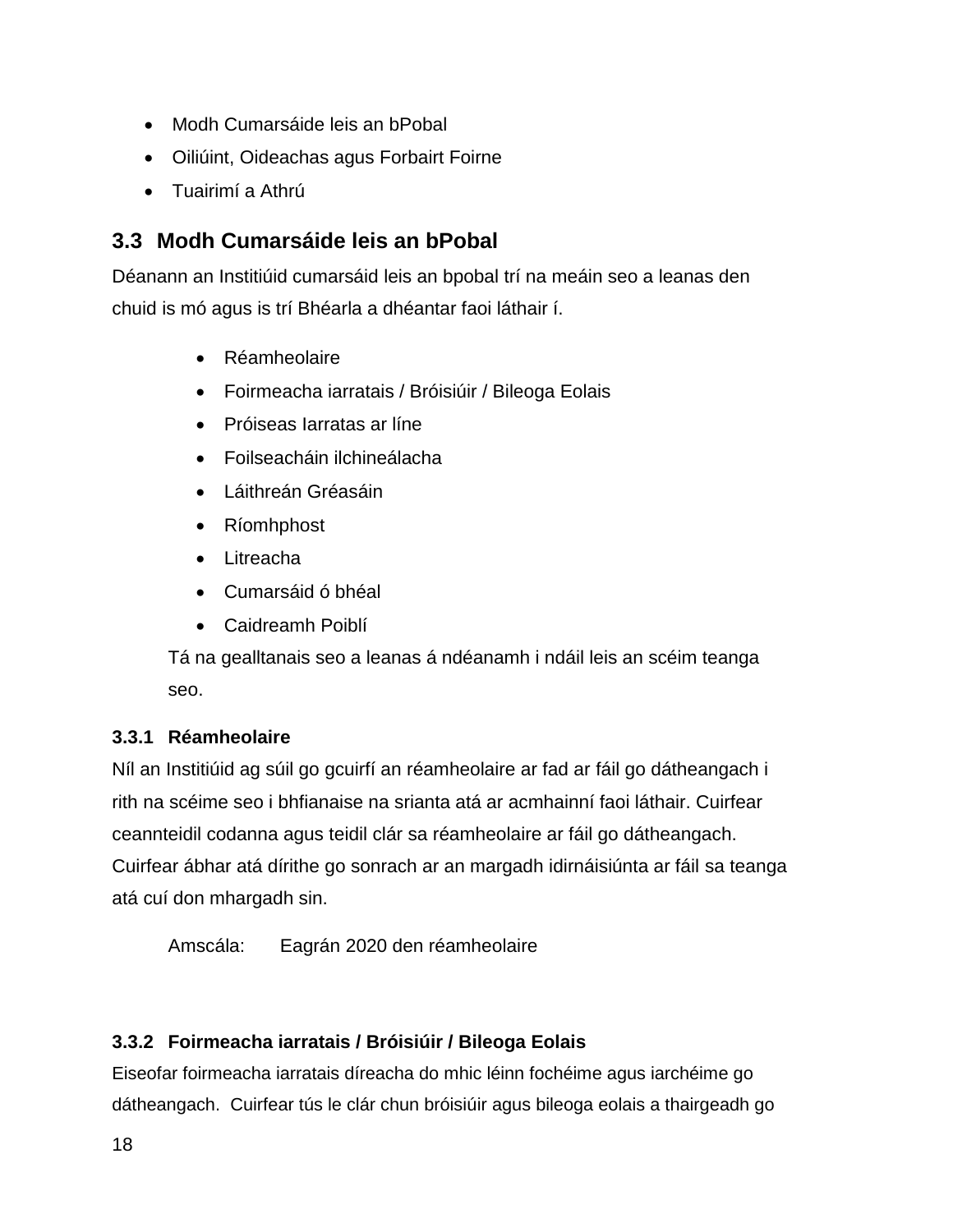- Modh Cumarsáide leis an bPobal
- Oiliúint, Oideachas agus Forbairt Foirne
- Tuairimí a Athrú

#### <span id="page-17-0"></span>**3.3 Modh Cumarsáide leis an bPobal**

Déanann an Institiúid cumarsáid leis an bpobal trí na meáin seo a leanas den chuid is mó agus is trí Bhéarla a dhéantar faoi láthair í.

- Réamheolaire
- Foirmeacha iarratais / Bróisiúir / Bileoga Eolais
- Próiseas Iarratas ar líne
- Foilseacháin ilchineálacha
- Láithreán Gréasáin
- Ríomhphost
- Litreacha
- Cumarsáid ó bhéal
- Caidreamh Poiblí

Tá na gealltanais seo a leanas á ndéanamh i ndáil leis an scéim teanga seo.

#### <span id="page-17-1"></span>**3.3.1 Réamheolaire**

Níl an Institiúid ag súil go gcuirfí an réamheolaire ar fad ar fáil go dátheangach i rith na scéime seo i bhfianaise na srianta atá ar acmhainní faoi láthair. Cuirfear ceannteidil codanna agus teidil clár sa réamheolaire ar fáil go dátheangach. Cuirfear ábhar atá dírithe go sonrach ar an margadh idirnáisiúnta ar fáil sa teanga atá cuí don mhargadh sin.

Amscála: Eagrán 2020 den réamheolaire

#### <span id="page-17-2"></span>**3.3.2 Foirmeacha iarratais / Bróisiúir / Bileoga Eolais**

Eiseofar foirmeacha iarratais díreacha do mhic léinn fochéime agus iarchéime go dátheangach. Cuirfear tús le clár chun bróisiúir agus bileoga eolais a thairgeadh go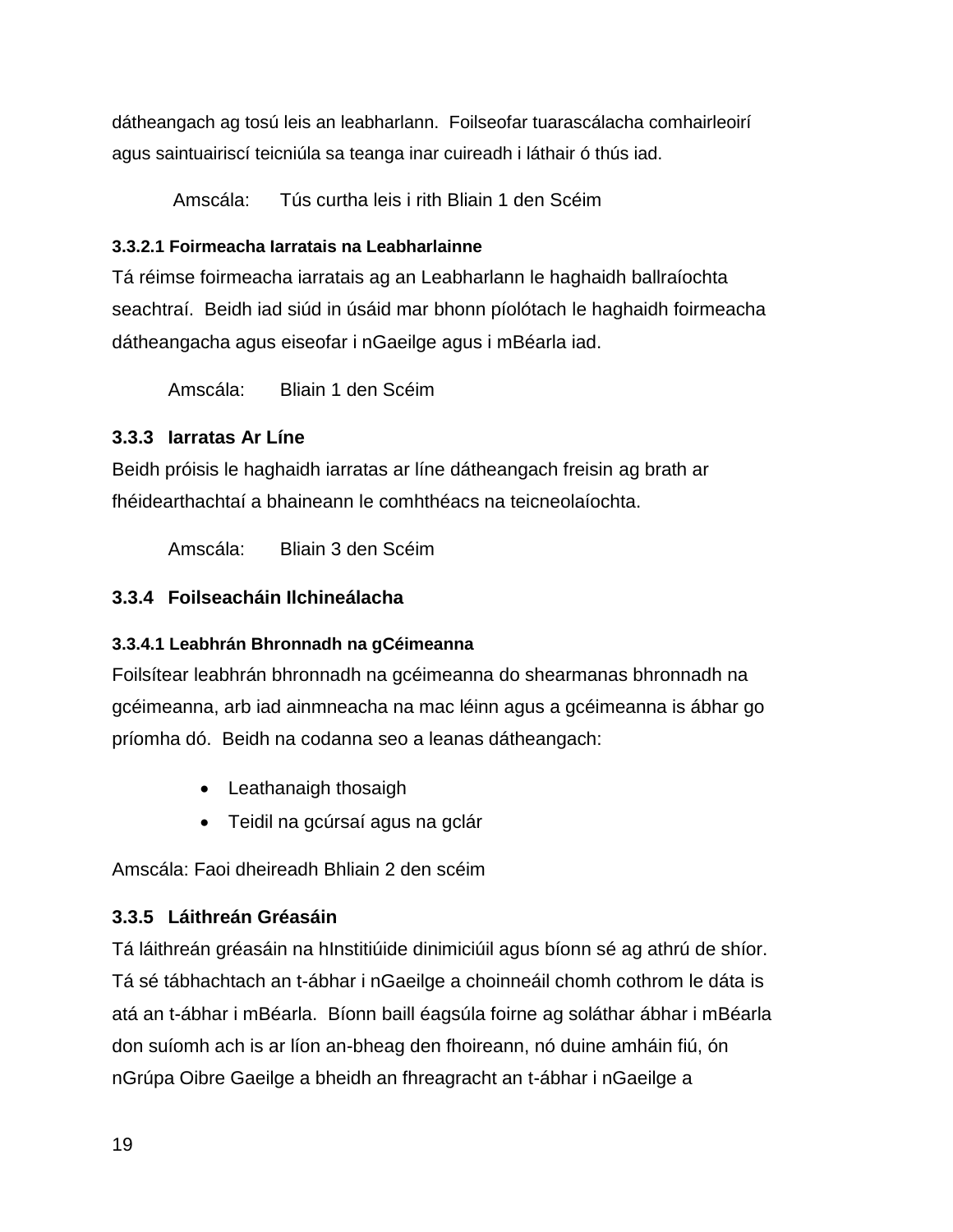dátheangach ag tosú leis an leabharlann. Foilseofar tuarascálacha comhairleoirí agus saintuairiscí teicniúla sa teanga inar cuireadh i láthair ó thús iad.

Amscála: Tús curtha leis i rith Bliain 1 den Scéim

#### **3.3.2.1 Foirmeacha Iarratais na Leabharlainne**

Tá réimse foirmeacha iarratais ag an Leabharlann le haghaidh ballraíochta seachtraí. Beidh iad siúd in úsáid mar bhonn píolótach le haghaidh foirmeacha dátheangacha agus eiseofar i nGaeilge agus i mBéarla iad.

Amscála: Bliain 1 den Scéim

#### <span id="page-18-0"></span>**3.3.3 Iarratas Ar Líne**

Beidh próisis le haghaidh iarratas ar líne dátheangach freisin ag brath ar fhéidearthachtaí a bhaineann le comhthéacs na teicneolaíochta.

Amscála: Bliain 3 den Scéim

#### <span id="page-18-1"></span>**3.3.4 Foilseacháin Ilchineálacha**

#### **3.3.4.1 Leabhrán Bhronnadh na gCéimeanna**

Foilsítear leabhrán bhronnadh na gcéimeanna do shearmanas bhronnadh na gcéimeanna, arb iad ainmneacha na mac léinn agus a gcéimeanna is ábhar go príomha dó. Beidh na codanna seo a leanas dátheangach:

- Leathanaigh thosaigh
- Teidil na gcúrsaí agus na gclár

Amscála: Faoi dheireadh Bhliain 2 den scéim

#### <span id="page-18-2"></span>**3.3.5 Láithreán Gréasáin**

Tá láithreán gréasáin na hInstitiúide dinimiciúil agus bíonn sé ag athrú de shíor. Tá sé tábhachtach an t-ábhar i nGaeilge a choinneáil chomh cothrom le dáta is atá an t-ábhar i mBéarla. Bíonn baill éagsúla foirne ag soláthar ábhar i mBéarla don suíomh ach is ar líon an-bheag den fhoireann, nó duine amháin fiú, ón nGrúpa Oibre Gaeilge a bheidh an fhreagracht an t-ábhar i nGaeilge a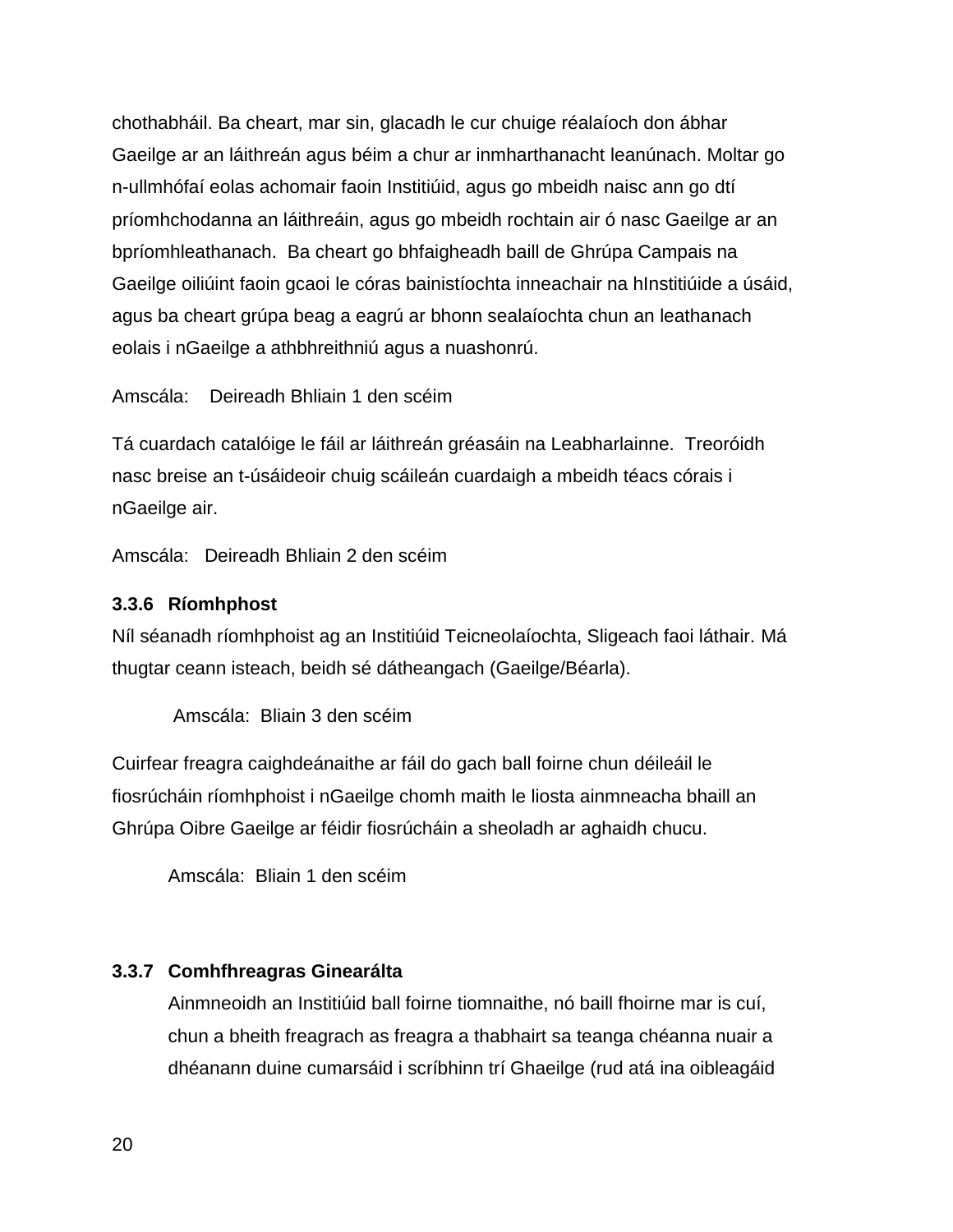chothabháil. Ba cheart, mar sin, glacadh le cur chuige réalaíoch don ábhar Gaeilge ar an láithreán agus béim a chur ar inmharthanacht leanúnach. Moltar go n-ullmhófaí eolas achomair faoin Institiúid, agus go mbeidh naisc ann go dtí príomhchodanna an láithreáin, agus go mbeidh rochtain air ó nasc Gaeilge ar an bpríomhleathanach. Ba cheart go bhfaigheadh baill de Ghrúpa Campais na Gaeilge oiliúint faoin gcaoi le córas bainistíochta inneachair na hInstitiúide a úsáid, agus ba cheart grúpa beag a eagrú ar bhonn sealaíochta chun an leathanach eolais i nGaeilge a athbhreithniú agus a nuashonrú.

Amscála: Deireadh Bhliain 1 den scéim

Tá cuardach catalóige le fáil ar láithreán gréasáin na Leabharlainne. Treoróidh nasc breise an t-úsáideoir chuig scáileán cuardaigh a mbeidh téacs córais i nGaeilge air.

Amscála: Deireadh Bhliain 2 den scéim

#### <span id="page-19-0"></span>**3.3.6 Ríomhphost**

Níl séanadh ríomhphoist ag an Institiúid Teicneolaíochta, Sligeach faoi láthair. Má thugtar ceann isteach, beidh sé dátheangach (Gaeilge/Béarla).

Amscála: Bliain 3 den scéim

Cuirfear freagra caighdeánaithe ar fáil do gach ball foirne chun déileáil le fiosrúcháin ríomhphoist i nGaeilge chomh maith le liosta ainmneacha bhaill an Ghrúpa Oibre Gaeilge ar féidir fiosrúcháin a sheoladh ar aghaidh chucu.

Amscála: Bliain 1 den scéim

#### <span id="page-19-1"></span>**3.3.7 Comhfhreagras Ginearálta**

Ainmneoidh an Institiúid ball foirne tiomnaithe, nó baill fhoirne mar is cuí, chun a bheith freagrach as freagra a thabhairt sa teanga chéanna nuair a dhéanann duine cumarsáid i scríbhinn trí Ghaeilge (rud atá ina oibleagáid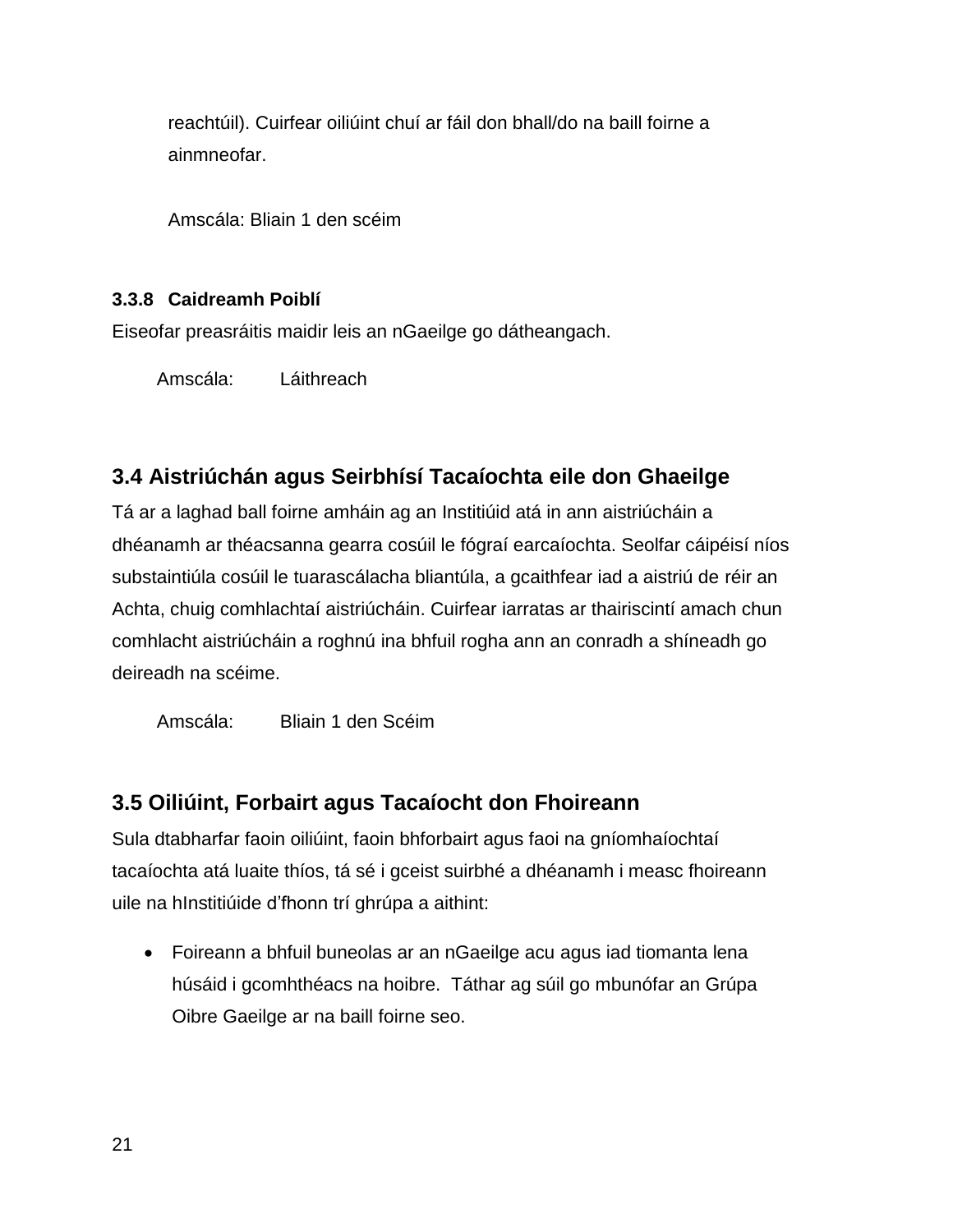reachtúil). Cuirfear oiliúint chuí ar fáil don bhall/do na baill foirne a ainmneofar.

Amscála: Bliain 1 den scéim

#### <span id="page-20-0"></span>**3.3.8 Caidreamh Poiblí**

Eiseofar preasráitis maidir leis an nGaeilge go dátheangach.

Amscála: Láithreach

#### <span id="page-20-1"></span>**3.4 Aistriúchán agus Seirbhísí Tacaíochta eile don Ghaeilge**

Tá ar a laghad ball foirne amháin ag an Institiúid atá in ann aistriúcháin a dhéanamh ar théacsanna gearra cosúil le fógraí earcaíochta. Seolfar cáipéisí níos substaintiúla cosúil le tuarascálacha bliantúla, a gcaithfear iad a aistriú de réir an Achta, chuig comhlachtaí aistriúcháin. Cuirfear iarratas ar thairiscintí amach chun comhlacht aistriúcháin a roghnú ina bhfuil rogha ann an conradh a shíneadh go deireadh na scéime.

Amscála: Bliain 1 den Scéim

#### <span id="page-20-2"></span>**3.5 Oiliúint, Forbairt agus Tacaíocht don Fhoireann**

Sula dtabharfar faoin oiliúint, faoin bhforbairt agus faoi na gníomhaíochtaí tacaíochta atá luaite thíos, tá sé i gceist suirbhé a dhéanamh i measc fhoireann uile na hInstitiúide d'fhonn trí ghrúpa a aithint:

 Foireann a bhfuil buneolas ar an nGaeilge acu agus iad tiomanta lena húsáid i gcomhthéacs na hoibre. Táthar ag súil go mbunófar an Grúpa Oibre Gaeilge ar na baill foirne seo.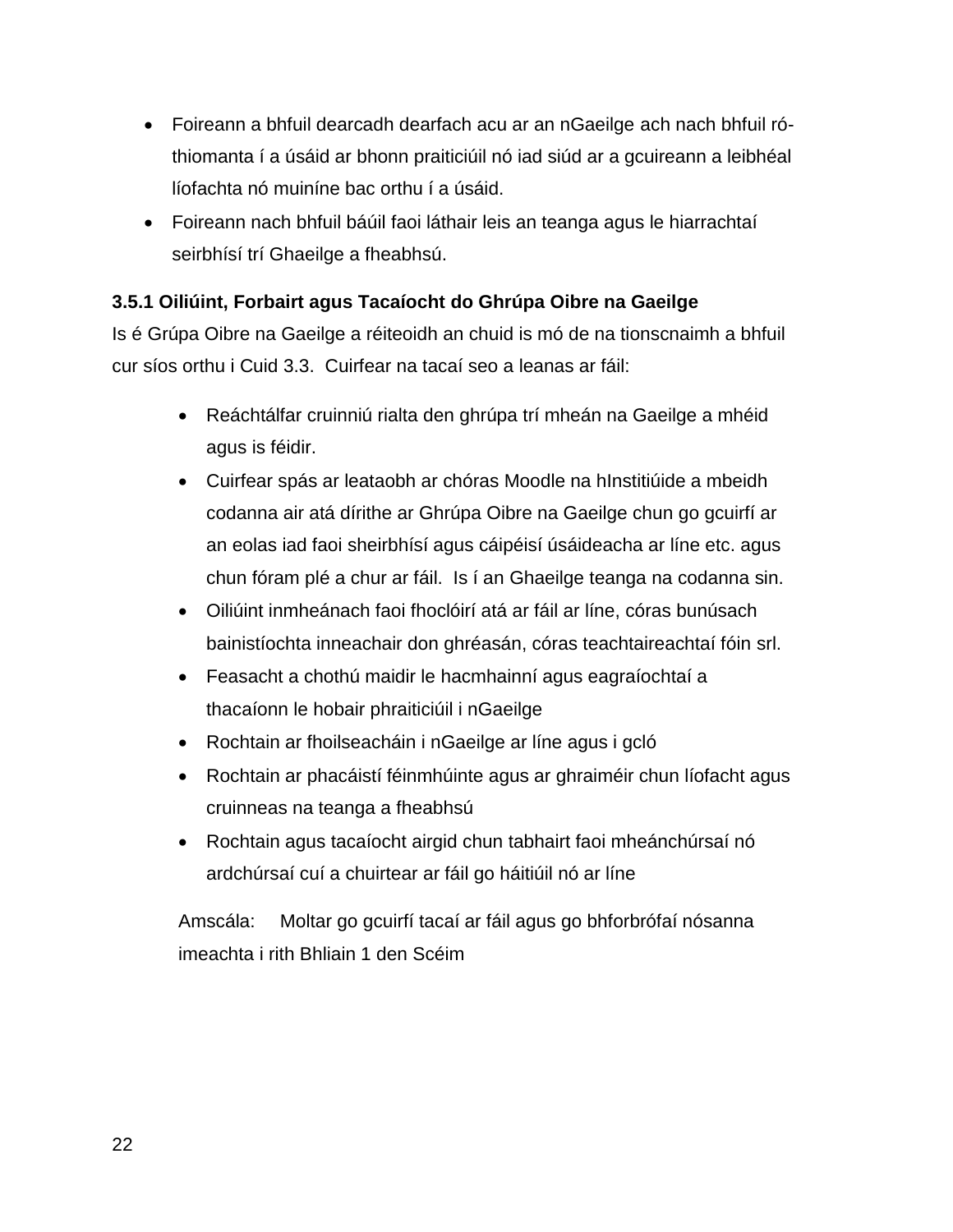- Foireann a bhfuil dearcadh dearfach acu ar an nGaeilge ach nach bhfuil róthiomanta í a úsáid ar bhonn praiticiúil nó iad siúd ar a gcuireann a leibhéal líofachta nó muiníne bac orthu í a úsáid.
- Foireann nach bhfuil báúil faoi láthair leis an teanga agus le hiarrachtaí seirbhísí trí Ghaeilge a fheabhsú.

#### <span id="page-21-0"></span>**3.5.1 Oiliúint, Forbairt agus Tacaíocht do Ghrúpa Oibre na Gaeilge**

Is é Grúpa Oibre na Gaeilge a réiteoidh an chuid is mó de na tionscnaimh a bhfuil cur síos orthu i Cuid 3.3. Cuirfear na tacaí seo a leanas ar fáil:

- Reáchtálfar cruinniú rialta den ghrúpa trí mheán na Gaeilge a mhéid agus is féidir.
- Cuirfear spás ar leataobh ar chóras Moodle na hInstitiúide a mbeidh codanna air atá dírithe ar Ghrúpa Oibre na Gaeilge chun go gcuirfí ar an eolas iad faoi sheirbhísí agus cáipéisí úsáideacha ar líne etc. agus chun fóram plé a chur ar fáil. Is í an Ghaeilge teanga na codanna sin.
- Oiliúint inmheánach faoi fhoclóirí atá ar fáil ar líne, córas bunúsach bainistíochta inneachair don ghréasán, córas teachtaireachtaí fóin srl.
- Feasacht a chothú maidir le hacmhainní agus eagraíochtaí a thacaíonn le hobair phraiticiúil i nGaeilge
- Rochtain ar fhoilseacháin i nGaeilge ar líne agus i gcló
- Rochtain ar phacáistí féinmhúinte agus ar ghraiméir chun líofacht agus cruinneas na teanga a fheabhsú
- Rochtain agus tacaíocht airgid chun tabhairt faoi mheánchúrsaí nó ardchúrsaí cuí a chuirtear ar fáil go háitiúil nó ar líne

Amscála: Moltar go gcuirfí tacaí ar fáil agus go bhforbrófaí nósanna imeachta i rith Bhliain 1 den Scéim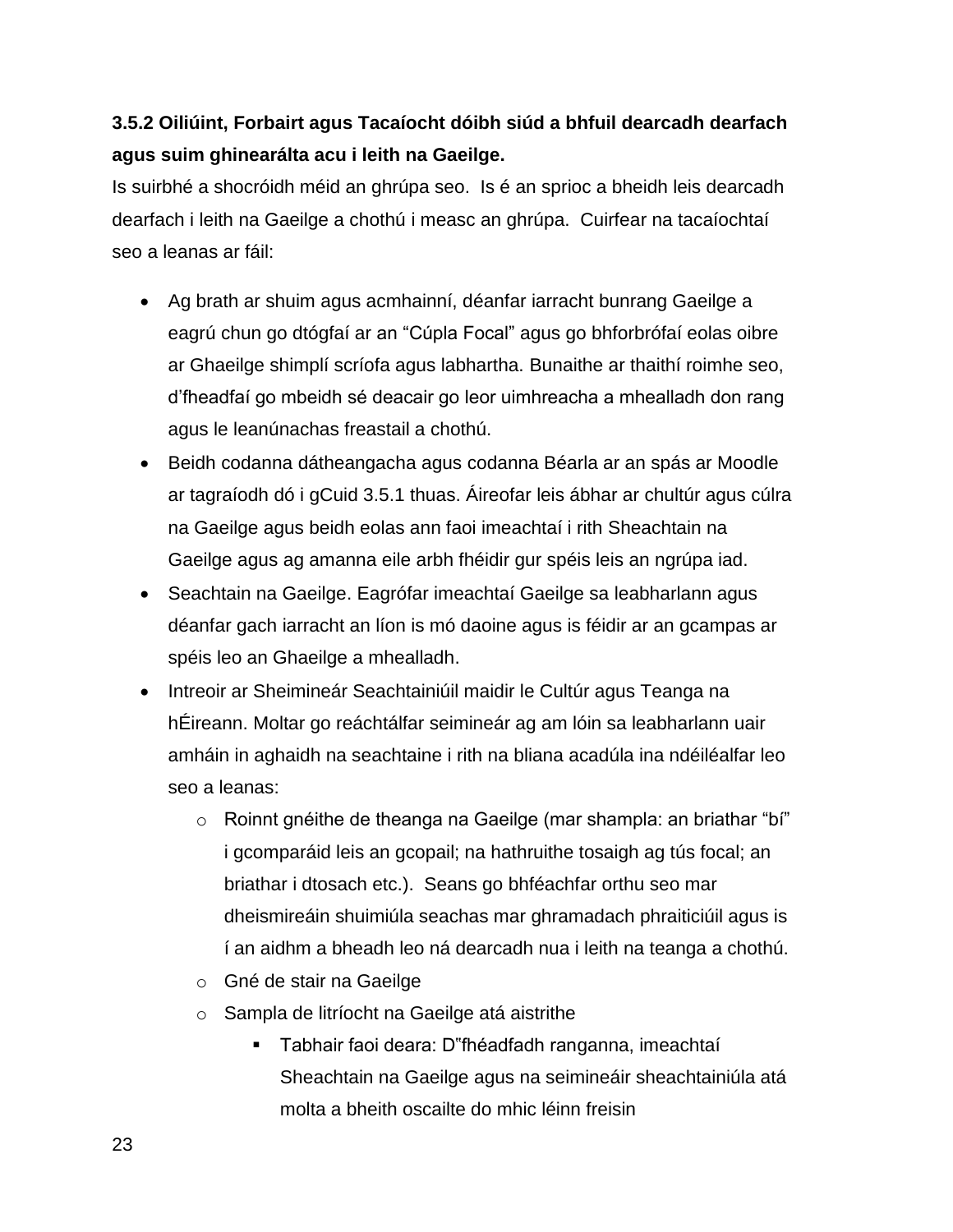#### <span id="page-22-0"></span>**3.5.2 Oiliúint, Forbairt agus Tacaíocht dóibh siúd a bhfuil dearcadh dearfach agus suim ghinearálta acu i leith na Gaeilge.**

Is suirbhé a shocróidh méid an ghrúpa seo. Is é an sprioc a bheidh leis dearcadh dearfach i leith na Gaeilge a chothú i measc an ghrúpa. Cuirfear na tacaíochtaí seo a leanas ar fáil:

- Ag brath ar shuim agus acmhainní, déanfar iarracht bunrang Gaeilge a eagrú chun go dtógfaí ar an "Cúpla Focal" agus go bhforbrófaí eolas oibre ar Ghaeilge shimplí scríofa agus labhartha. Bunaithe ar thaithí roimhe seo, d'fheadfaí go mbeidh sé deacair go leor uimhreacha a mhealladh don rang agus le leanúnachas freastail a chothú.
- Beidh codanna dátheangacha agus codanna Béarla ar an spás ar Moodle ar tagraíodh dó i gCuid 3.5.1 thuas. Áireofar leis ábhar ar chultúr agus cúlra na Gaeilge agus beidh eolas ann faoi imeachtaí i rith Sheachtain na Gaeilge agus ag amanna eile arbh fhéidir gur spéis leis an ngrúpa iad.
- Seachtain na Gaeilge. Eagrófar imeachtaí Gaeilge sa leabharlann agus déanfar gach iarracht an líon is mó daoine agus is féidir ar an gcampas ar spéis leo an Ghaeilge a mhealladh.
- Intreoir ar Sheimineár Seachtainiúil maidir le Cultúr agus Teanga na hÉireann. Moltar go reáchtálfar seimineár ag am lóin sa leabharlann uair amháin in aghaidh na seachtaine i rith na bliana acadúla ina ndéiléalfar leo seo a leanas:
	- o Roinnt gnéithe de theanga na Gaeilge (mar shampla: an briathar "bí" i gcomparáid leis an gcopail; na hathruithe tosaigh ag tús focal; an briathar i dtosach etc.). Seans go bhféachfar orthu seo mar dheismireáin shuimiúla seachas mar ghramadach phraiticiúil agus is í an aidhm a bheadh leo ná dearcadh nua i leith na teanga a chothú.
	- o Gné de stair na Gaeilge
	- o Sampla de litríocht na Gaeilge atá aistrithe
		- Tabhair faoi deara: D"fhéadfadh ranganna, imeachtaí Sheachtain na Gaeilge agus na seimineáir sheachtainiúla atá molta a bheith oscailte do mhic léinn freisin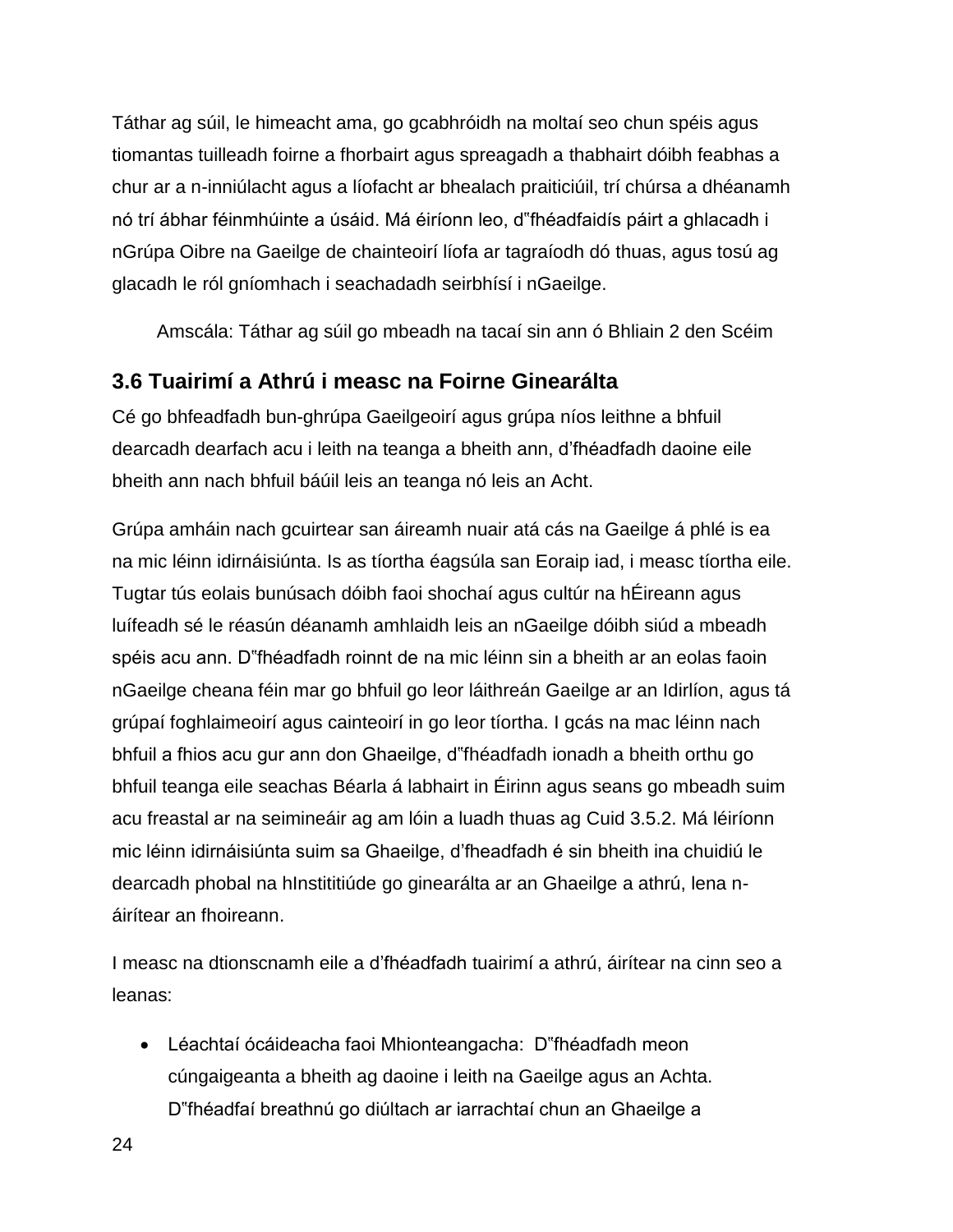Táthar ag súil, le himeacht ama, go gcabhróidh na moltaí seo chun spéis agus tiomantas tuilleadh foirne a fhorbairt agus spreagadh a thabhairt dóibh feabhas a chur ar a n-inniúlacht agus a líofacht ar bhealach praiticiúil, trí chúrsa a dhéanamh nó trí ábhar féinmhúinte a úsáid. Má éiríonn leo, d"fhéadfaidís páirt a ghlacadh i nGrúpa Oibre na Gaeilge de chainteoirí líofa ar tagraíodh dó thuas, agus tosú ag glacadh le ról gníomhach i seachadadh seirbhísí i nGaeilge.

Amscála: Táthar ag súil go mbeadh na tacaí sin ann ó Bhliain 2 den Scéim

#### <span id="page-23-0"></span>**3.6 Tuairimí a Athrú i measc na Foirne Ginearálta**

Cé go bhfeadfadh bun-ghrúpa Gaeilgeoirí agus grúpa níos leithne a bhfuil dearcadh dearfach acu i leith na teanga a bheith ann, d'fhéadfadh daoine eile bheith ann nach bhfuil báúil leis an teanga nó leis an Acht.

Grúpa amháin nach gcuirtear san áireamh nuair atá cás na Gaeilge á phlé is ea na mic léinn idirnáisiúnta. Is as tíortha éagsúla san Eoraip iad, i measc tíortha eile. Tugtar tús eolais bunúsach dóibh faoi shochaí agus cultúr na hÉireann agus luífeadh sé le réasún déanamh amhlaidh leis an nGaeilge dóibh siúd a mbeadh spéis acu ann. D"fhéadfadh roinnt de na mic léinn sin a bheith ar an eolas faoin nGaeilge cheana féin mar go bhfuil go leor láithreán Gaeilge ar an Idirlíon, agus tá grúpaí foghlaimeoirí agus cainteoirí in go leor tíortha. I gcás na mac léinn nach bhfuil a fhios acu gur ann don Ghaeilge, d"fhéadfadh ionadh a bheith orthu go bhfuil teanga eile seachas Béarla á labhairt in Éirinn agus seans go mbeadh suim acu freastal ar na seimineáir ag am lóin a luadh thuas ag Cuid 3.5.2. Má léiríonn mic léinn idirnáisiúnta suim sa Ghaeilge, d'fheadfadh é sin bheith ina chuidiú le dearcadh phobal na hInstititiúde go ginearálta ar an Ghaeilge a athrú, lena náirítear an fhoireann.

I measc na dtionscnamh eile a d'fhéadfadh tuairimí a athrú, áirítear na cinn seo a leanas:

 Léachtaí ócáideacha faoi Mhionteangacha: D"fhéadfadh meon cúngaigeanta a bheith ag daoine i leith na Gaeilge agus an Achta. D"fhéadfaí breathnú go diúltach ar iarrachtaí chun an Ghaeilge a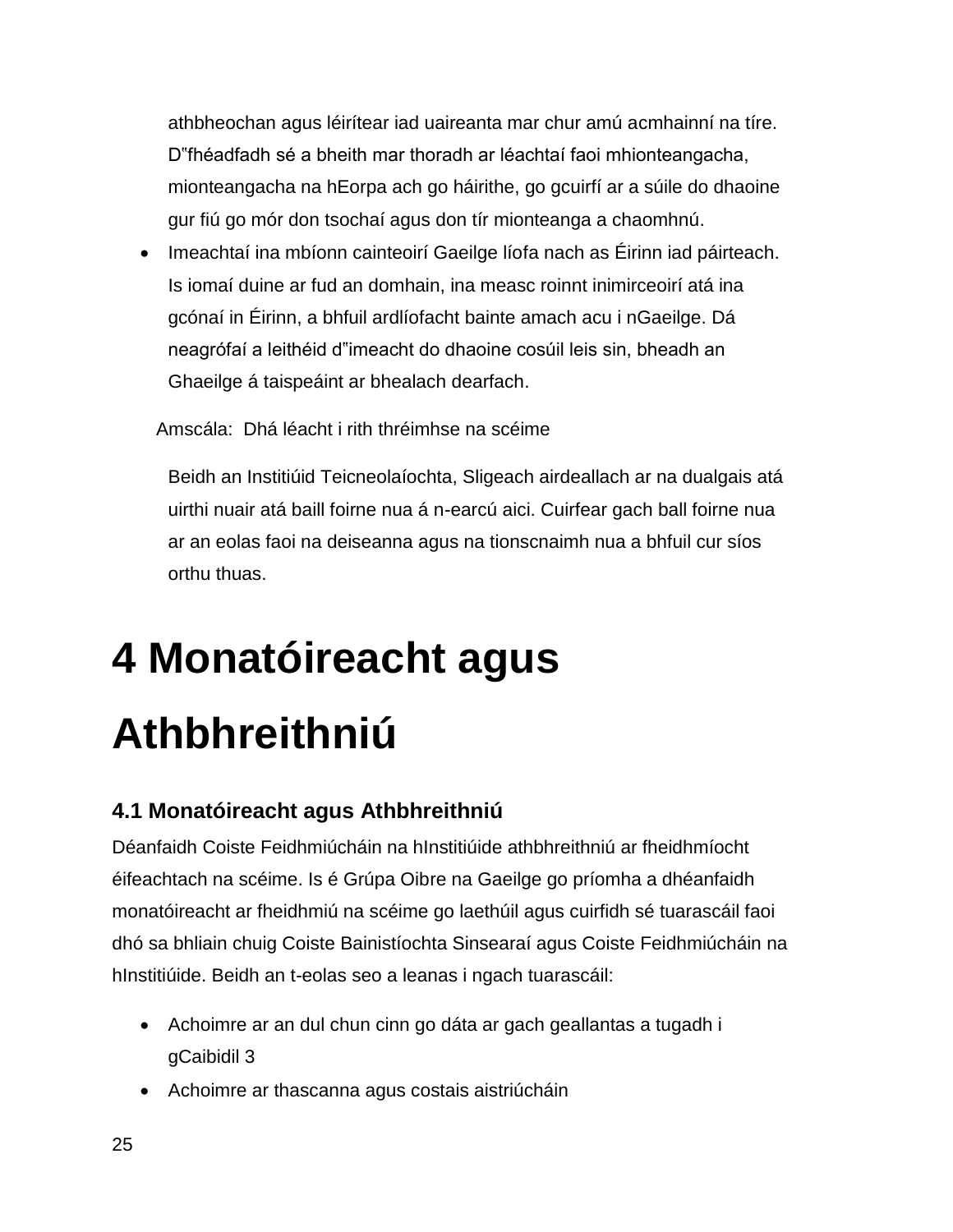athbheochan agus léirítear iad uaireanta mar chur amú acmhainní na tíre. D"fhéadfadh sé a bheith mar thoradh ar léachtaí faoi mhionteangacha, mionteangacha na hEorpa ach go háirithe, go gcuirfí ar a súile do dhaoine gur fiú go mór don tsochaí agus don tír mionteanga a chaomhnú.

 Imeachtaí ina mbíonn cainteoirí Gaeilge líofa nach as Éirinn iad páirteach. Is iomaí duine ar fud an domhain, ina measc roinnt inimirceoirí atá ina gcónaí in Éirinn, a bhfuil ardlíofacht bainte amach acu i nGaeilge. Dá neagrófaí a leithéid d"imeacht do dhaoine cosúil leis sin, bheadh an Ghaeilge á taispeáint ar bhealach dearfach.

Amscála: Dhá léacht i rith thréimhse na scéime

Beidh an Institiúid Teicneolaíochta, Sligeach airdeallach ar na dualgais atá uirthi nuair atá baill foirne nua á n-earcú aici. Cuirfear gach ball foirne nua ar an eolas faoi na deiseanna agus na tionscnaimh nua a bhfuil cur síos orthu thuas.

### <span id="page-24-0"></span>**4 Monatóireacht agus Athbhreithniú**

#### <span id="page-24-1"></span>**4.1 Monatóireacht agus Athbhreithniú**

Déanfaidh Coiste Feidhmiúcháin na hInstitiúide athbhreithniú ar fheidhmíocht éifeachtach na scéime. Is é Grúpa Oibre na Gaeilge go príomha a dhéanfaidh monatóireacht ar fheidhmiú na scéime go laethúil agus cuirfidh sé tuarascáil faoi dhó sa bhliain chuig Coiste Bainistíochta Sinsearaí agus Coiste Feidhmiúcháin na hInstitiúide. Beidh an t-eolas seo a leanas i ngach tuarascáil:

- Achoimre ar an dul chun cinn go dáta ar gach geallantas a tugadh i gCaibidil 3
- Achoimre ar thascanna agus costais aistriúcháin